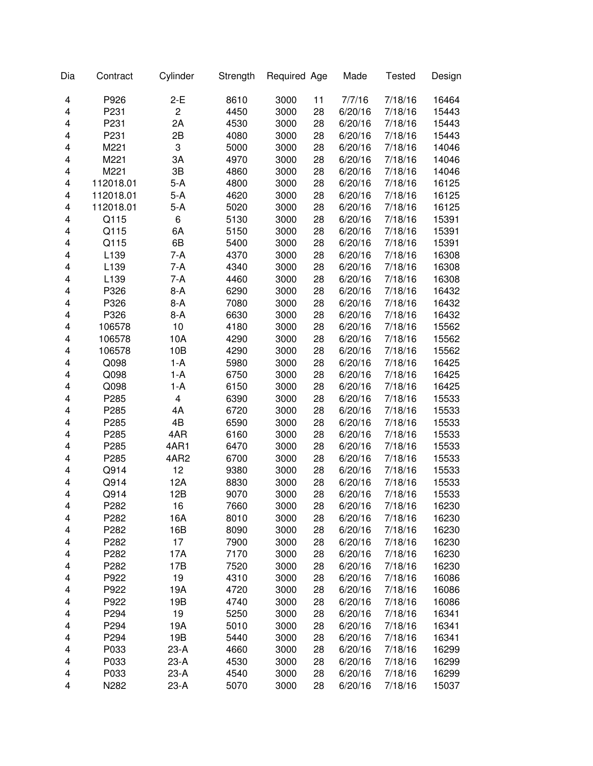| Dia | Contract  | Cylinder                | Strength | Required Age |    | Made    | <b>Tested</b> | Design |
|-----|-----------|-------------------------|----------|--------------|----|---------|---------------|--------|
| 4   | P926      | $2-E$                   | 8610     | 3000         | 11 | 7/7/16  | 7/18/16       | 16464  |
| 4   | P231      | $\overline{\mathbf{c}}$ | 4450     | 3000         | 28 | 6/20/16 | 7/18/16       | 15443  |
| 4   | P231      | 2A                      | 4530     | 3000         | 28 | 6/20/16 | 7/18/16       | 15443  |
| 4   | P231      | 2B                      | 4080     | 3000         | 28 | 6/20/16 | 7/18/16       | 15443  |
| 4   | M221      | 3                       | 5000     | 3000         | 28 | 6/20/16 | 7/18/16       | 14046  |
| 4   | M221      | 3A                      | 4970     | 3000         | 28 | 6/20/16 | 7/18/16       | 14046  |
| 4   | M221      | 3B                      | 4860     | 3000         | 28 | 6/20/16 | 7/18/16       | 14046  |
| 4   | 112018.01 | 5-A                     | 4800     | 3000         | 28 | 6/20/16 | 7/18/16       | 16125  |
| 4   | 112018.01 | $5-A$                   | 4620     | 3000         | 28 | 6/20/16 | 7/18/16       | 16125  |
| 4   | 112018.01 | $5-A$                   | 5020     | 3000         | 28 | 6/20/16 | 7/18/16       | 16125  |
| 4   | Q115      | 6                       | 5130     | 3000         | 28 | 6/20/16 | 7/18/16       | 15391  |
| 4   | Q115      | 6A                      | 5150     | 3000         | 28 | 6/20/16 | 7/18/16       | 15391  |
| 4   | Q115      | 6B                      | 5400     | 3000         | 28 | 6/20/16 | 7/18/16       | 15391  |
| 4   | L139      | $7-A$                   | 4370     | 3000         | 28 | 6/20/16 | 7/18/16       | 16308  |
| 4   | L139      | $7-A$                   | 4340     | 3000         | 28 | 6/20/16 | 7/18/16       | 16308  |
| 4   | L139      | $7-A$                   | 4460     | 3000         | 28 | 6/20/16 | 7/18/16       | 16308  |
| 4   | P326      | $8-A$                   | 6290     | 3000         | 28 | 6/20/16 | 7/18/16       | 16432  |
| 4   | P326      | $8-A$                   | 7080     | 3000         | 28 | 6/20/16 | 7/18/16       | 16432  |
| 4   | P326      | $8-A$                   | 6630     | 3000         | 28 | 6/20/16 | 7/18/16       | 16432  |
| 4   | 106578    | 10                      | 4180     | 3000         | 28 | 6/20/16 | 7/18/16       | 15562  |
| 4   | 106578    | 10A                     | 4290     | 3000         | 28 | 6/20/16 | 7/18/16       | 15562  |
| 4   | 106578    | 10B                     | 4290     | 3000         | 28 | 6/20/16 | 7/18/16       | 15562  |
| 4   | Q098      | $1-A$                   | 5980     | 3000         | 28 | 6/20/16 | 7/18/16       | 16425  |
| 4   | Q098      | $1-A$                   | 6750     | 3000         | 28 | 6/20/16 | 7/18/16       | 16425  |
| 4   | Q098      | $1-A$                   | 6150     | 3000         | 28 | 6/20/16 | 7/18/16       | 16425  |
| 4   | P285      | 4                       | 6390     | 3000         | 28 | 6/20/16 | 7/18/16       | 15533  |
| 4   | P285      | 4A                      | 6720     | 3000         | 28 | 6/20/16 | 7/18/16       | 15533  |
| 4   | P285      | 4B                      | 6590     | 3000         | 28 | 6/20/16 | 7/18/16       | 15533  |
| 4   | P285      | 4AR                     | 6160     | 3000         | 28 | 6/20/16 | 7/18/16       | 15533  |
| 4   | P285      | 4AR1                    | 6470     | 3000         | 28 | 6/20/16 | 7/18/16       | 15533  |
| 4   | P285      | 4AR2                    | 6700     | 3000         | 28 | 6/20/16 | 7/18/16       | 15533  |
| 4   | Q914      | 12                      | 9380     | 3000         | 28 | 6/20/16 | 7/18/16       | 15533  |
| 4   | Q914      | 12A                     | 8830     | 3000         | 28 | 6/20/16 | 7/18/16       | 15533  |
| 4   | Q914      | 12B                     | 9070     | 3000         | 28 | 6/20/16 | 7/18/16       | 15533  |
| 4   | P282      | 16                      | 7660     | 3000         | 28 | 6/20/16 | 7/18/16       | 16230  |
| 4   | P282      | 16A                     | 8010     | 3000         | 28 | 6/20/16 | 7/18/16       | 16230  |
| 4   | P282      | 16B                     | 8090     | 3000         | 28 | 6/20/16 | 7/18/16       | 16230  |
| 4   | P282      | 17                      | 7900     | 3000         | 28 | 6/20/16 | 7/18/16       | 16230  |
| 4   | P282      | 17A                     | 7170     | 3000         | 28 | 6/20/16 | 7/18/16       | 16230  |
| 4   | P282      | 17B                     | 7520     | 3000         | 28 | 6/20/16 | 7/18/16       | 16230  |
| 4   | P922      | 19                      | 4310     | 3000         | 28 | 6/20/16 | 7/18/16       | 16086  |
| 4   | P922      | 19A                     | 4720     | 3000         | 28 | 6/20/16 | 7/18/16       | 16086  |
| 4   | P922      | 19B                     | 4740     | 3000         | 28 | 6/20/16 | 7/18/16       | 16086  |
| 4   | P294      | 19                      | 5250     | 3000         | 28 | 6/20/16 | 7/18/16       | 16341  |
| 4   | P294      | 19A                     | 5010     | 3000         | 28 | 6/20/16 | 7/18/16       | 16341  |
| 4   | P294      | 19B                     | 5440     | 3000         | 28 | 6/20/16 | 7/18/16       | 16341  |
| 4   | P033      | $23-A$                  | 4660     | 3000         | 28 | 6/20/16 | 7/18/16       | 16299  |
| 4   | P033      | $23-A$                  | 4530     | 3000         | 28 | 6/20/16 | 7/18/16       | 16299  |
| 4   | P033      | $23-A$                  | 4540     | 3000         | 28 | 6/20/16 | 7/18/16       | 16299  |
| 4   | N282      | $23-A$                  | 5070     | 3000         | 28 | 6/20/16 | 7/18/16       | 15037  |
|     |           |                         |          |              |    |         |               |        |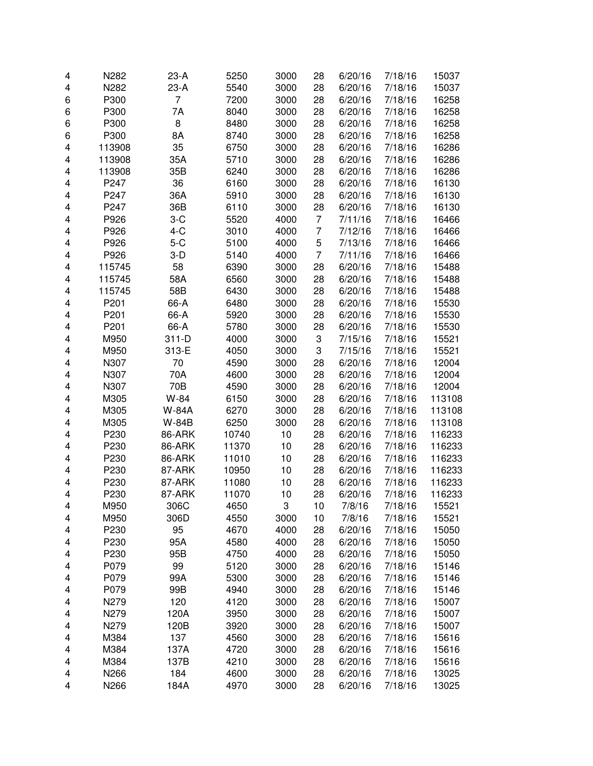| 4 | N282   | 23-A    | 5250  | 3000 | 28 | 6/20/16 | 7/18/16 | 15037  |
|---|--------|---------|-------|------|----|---------|---------|--------|
| 4 | N282   | $23-A$  | 5540  | 3000 | 28 | 6/20/16 | 7/18/16 | 15037  |
| 6 | P300   | 7       | 7200  | 3000 | 28 | 6/20/16 | 7/18/16 | 16258  |
| 6 | P300   | 7A      | 8040  | 3000 | 28 | 6/20/16 | 7/18/16 | 16258  |
| 6 | P300   | 8       | 8480  | 3000 | 28 | 6/20/16 | 7/18/16 | 16258  |
| 6 | P300   | 8A      | 8740  | 3000 | 28 | 6/20/16 | 7/18/16 | 16258  |
| 4 | 113908 | 35      | 6750  | 3000 | 28 | 6/20/16 | 7/18/16 | 16286  |
| 4 | 113908 | 35A     | 5710  | 3000 | 28 | 6/20/16 | 7/18/16 | 16286  |
| 4 | 113908 | 35B     | 6240  | 3000 | 28 | 6/20/16 | 7/18/16 | 16286  |
| 4 | P247   | 36      | 6160  | 3000 | 28 | 6/20/16 | 7/18/16 | 16130  |
| 4 | P247   | 36A     | 5910  | 3000 | 28 | 6/20/16 | 7/18/16 | 16130  |
| 4 | P247   | 36B     | 6110  | 3000 | 28 | 6/20/16 | 7/18/16 | 16130  |
| 4 | P926   | $3-C$   | 5520  | 4000 | 7  | 7/11/16 | 7/18/16 | 16466  |
| 4 | P926   | $4-C$   | 3010  | 4000 | 7  | 7/12/16 | 7/18/16 | 16466  |
| 4 | P926   | $5-C$   | 5100  | 4000 | 5  | 7/13/16 | 7/18/16 | 16466  |
| 4 | P926   | $3-D$   | 5140  | 4000 | 7  | 7/11/16 | 7/18/16 | 16466  |
| 4 | 115745 | 58      | 6390  | 3000 | 28 | 6/20/16 | 7/18/16 | 15488  |
| 4 | 115745 | 58A     | 6560  | 3000 | 28 | 6/20/16 | 7/18/16 | 15488  |
| 4 | 115745 | 58B     | 6430  | 3000 | 28 | 6/20/16 | 7/18/16 | 15488  |
| 4 | P201   | 66-A    | 6480  | 3000 | 28 | 6/20/16 | 7/18/16 | 15530  |
| 4 | P201   | 66-A    | 5920  | 3000 | 28 | 6/20/16 | 7/18/16 | 15530  |
| 4 | P201   | 66-A    | 5780  | 3000 | 28 | 6/20/16 | 7/18/16 | 15530  |
| 4 | M950   | $311-D$ | 4000  | 3000 | 3  | 7/15/16 | 7/18/16 | 15521  |
| 4 | M950   | 313-E   | 4050  | 3000 | 3  | 7/15/16 | 7/18/16 | 15521  |
| 4 | N307   | 70      | 4590  | 3000 | 28 | 6/20/16 | 7/18/16 | 12004  |
| 4 | N307   | 70A     | 4600  | 3000 | 28 | 6/20/16 | 7/18/16 | 12004  |
| 4 | N307   | 70B     | 4590  | 3000 | 28 | 6/20/16 | 7/18/16 | 12004  |
| 4 | M305   | W-84    | 6150  | 3000 | 28 | 6/20/16 | 7/18/16 | 113108 |
| 4 | M305   | W-84A   | 6270  | 3000 | 28 | 6/20/16 | 7/18/16 | 113108 |
| 4 | M305   | W-84B   | 6250  | 3000 | 28 | 6/20/16 | 7/18/16 | 113108 |
| 4 | P230   | 86-ARK  | 10740 | 10   | 28 | 6/20/16 | 7/18/16 | 116233 |
| 4 | P230   | 86-ARK  | 11370 | 10   | 28 | 6/20/16 | 7/18/16 | 116233 |
| 4 | P230   | 86-ARK  | 11010 | 10   | 28 | 6/20/16 | 7/18/16 | 116233 |
| 4 | P230   | 87-ARK  | 10950 | 10   | 28 | 6/20/16 | 7/18/16 | 116233 |
| 4 | P230   | 87-ARK  | 11080 | 10   | 28 | 6/20/16 | 7/18/16 | 116233 |
| 4 | P230   | 87-ARK  | 11070 | 10   | 28 | 6/20/16 | 7/18/16 | 116233 |
| 4 | M950   | 306C    | 4650  | 3    | 10 | 7/8/16  | 7/18/16 | 15521  |
| 4 | M950   | 306D    | 4550  | 3000 | 10 | 7/8/16  | 7/18/16 | 15521  |
| 4 | P230   | 95      | 4670  | 4000 | 28 | 6/20/16 | 7/18/16 | 15050  |
| 4 | P230   | 95A     | 4580  | 4000 | 28 | 6/20/16 | 7/18/16 | 15050  |
| 4 | P230   | 95B     | 4750  | 4000 | 28 | 6/20/16 | 7/18/16 | 15050  |
| 4 | P079   | 99      | 5120  | 3000 | 28 | 6/20/16 | 7/18/16 | 15146  |
| 4 | P079   | 99A     | 5300  | 3000 | 28 | 6/20/16 | 7/18/16 | 15146  |
| 4 | P079   | 99B     | 4940  | 3000 | 28 | 6/20/16 | 7/18/16 | 15146  |
| 4 | N279   | 120     | 4120  | 3000 | 28 | 6/20/16 | 7/18/16 | 15007  |
| 4 | N279   | 120A    | 3950  | 3000 | 28 | 6/20/16 | 7/18/16 | 15007  |
| 4 | N279   | 120B    | 3920  | 3000 | 28 | 6/20/16 | 7/18/16 | 15007  |
| 4 | M384   | 137     | 4560  | 3000 | 28 | 6/20/16 | 7/18/16 | 15616  |
| 4 | M384   | 137A    | 4720  | 3000 | 28 | 6/20/16 | 7/18/16 | 15616  |
| 4 | M384   | 137B    | 4210  | 3000 | 28 | 6/20/16 | 7/18/16 | 15616  |
| 4 | N266   | 184     | 4600  | 3000 | 28 | 6/20/16 | 7/18/16 | 13025  |
| 4 | N266   | 184A    | 4970  | 3000 | 28 | 6/20/16 | 7/18/16 | 13025  |
|   |        |         |       |      |    |         |         |        |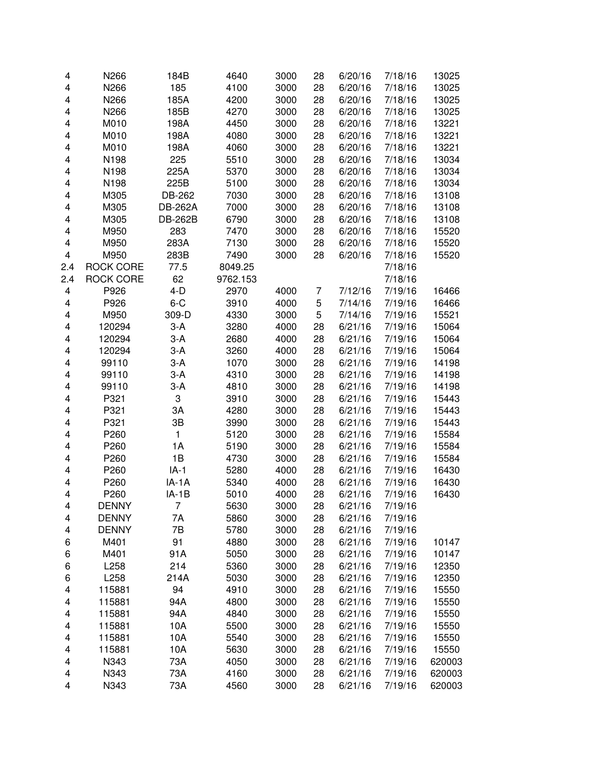| 4   | N266             | 184B           | 4640     | 3000         | 28 | 6/20/16 | 7/18/16 | 13025  |
|-----|------------------|----------------|----------|--------------|----|---------|---------|--------|
| 4   | N266             | 185            | 4100     | 3000         | 28 | 6/20/16 | 7/18/16 | 13025  |
| 4   | N266             | 185A           | 4200     | 3000         | 28 | 6/20/16 | 7/18/16 | 13025  |
| 4   | N266             | 185B           | 4270     | 3000         | 28 | 6/20/16 | 7/18/16 | 13025  |
| 4   | M010             | 198A           | 4450     | 3000         | 28 | 6/20/16 | 7/18/16 | 13221  |
| 4   | M010             | 198A           | 4080     | 3000         | 28 | 6/20/16 | 7/18/16 | 13221  |
| 4   | M010             | 198A           | 4060     | 3000         | 28 | 6/20/16 | 7/18/16 | 13221  |
| 4   | N198             | 225            | 5510     | 3000         | 28 | 6/20/16 | 7/18/16 | 13034  |
| 4   | N198             | 225A           | 5370     | 3000         | 28 | 6/20/16 | 7/18/16 | 13034  |
| 4   | N198             | 225B           | 5100     | 3000         | 28 | 6/20/16 | 7/18/16 | 13034  |
| 4   | M305             | DB-262         | 7030     | 3000         | 28 | 6/20/16 | 7/18/16 | 13108  |
| 4   | M305             | <b>DB-262A</b> | 7000     | 3000         | 28 | 6/20/16 | 7/18/16 | 13108  |
| 4   | M305             | <b>DB-262B</b> | 6790     | 3000         | 28 | 6/20/16 | 7/18/16 | 13108  |
| 4   | M950             | 283            | 7470     | 3000         | 28 | 6/20/16 | 7/18/16 | 15520  |
| 4   | M950             | 283A           | 7130     | 3000         | 28 | 6/20/16 | 7/18/16 | 15520  |
| 4   | M950             | 283B           | 7490     | 3000         | 28 | 6/20/16 | 7/18/16 | 15520  |
| 2.4 | <b>ROCK CORE</b> | 77.5           | 8049.25  |              |    |         | 7/18/16 |        |
| 2.4 | <b>ROCK CORE</b> | 62             | 9762.153 |              |    |         | 7/18/16 |        |
| 4   | P926             | $4-D$          | 2970     |              |    | 7/12/16 | 7/19/16 | 16466  |
| 4   | P926             | $6 - C$        | 3910     | 4000<br>4000 | 7  |         |         | 16466  |
|     |                  |                |          |              | 5  | 7/14/16 | 7/19/16 |        |
| 4   | M950             | 309-D          | 4330     | 3000         | 5  | 7/14/16 | 7/19/16 | 15521  |
| 4   | 120294           | $3-A$          | 3280     | 4000         | 28 | 6/21/16 | 7/19/16 | 15064  |
| 4   | 120294           | $3-A$          | 2680     | 4000         | 28 | 6/21/16 | 7/19/16 | 15064  |
| 4   | 120294           | $3-A$          | 3260     | 4000         | 28 | 6/21/16 | 7/19/16 | 15064  |
| 4   | 99110            | $3-A$          | 1070     | 3000         | 28 | 6/21/16 | 7/19/16 | 14198  |
| 4   | 99110            | $3-A$          | 4310     | 3000         | 28 | 6/21/16 | 7/19/16 | 14198  |
| 4   | 99110            | $3-A$          | 4810     | 3000         | 28 | 6/21/16 | 7/19/16 | 14198  |
| 4   | P321             | 3              | 3910     | 3000         | 28 | 6/21/16 | 7/19/16 | 15443  |
| 4   | P321             | 3A             | 4280     | 3000         | 28 | 6/21/16 | 7/19/16 | 15443  |
| 4   | P321             | 3B             | 3990     | 3000         | 28 | 6/21/16 | 7/19/16 | 15443  |
| 4   | P260             | $\mathbf{1}$   | 5120     | 3000         | 28 | 6/21/16 | 7/19/16 | 15584  |
| 4   | P260             | 1A             | 5190     | 3000         | 28 | 6/21/16 | 7/19/16 | 15584  |
| 4   | P260             | 1B             | 4730     | 3000         | 28 | 6/21/16 | 7/19/16 | 15584  |
| 4   | P260             | $IA-1$         | 5280     | 4000         | 28 | 6/21/16 | 7/19/16 | 16430  |
| 4   | P260             | IA-1A          | 5340     | 4000         | 28 | 6/21/16 | 7/19/16 | 16430  |
| 4   | P260             | $IA-1B$        | 5010     | 4000         | 28 | 6/21/16 | 7/19/16 | 16430  |
| 4   | <b>DENNY</b>     | 7              | 5630     | 3000         | 28 | 6/21/16 | 7/19/16 |        |
| 4   | <b>DENNY</b>     | 7A             | 5860     | 3000         | 28 | 6/21/16 | 7/19/16 |        |
| 4   | <b>DENNY</b>     | 7B             | 5780     | 3000         | 28 | 6/21/16 | 7/19/16 |        |
| 6   | M401             | 91             | 4880     | 3000         | 28 | 6/21/16 | 7/19/16 | 10147  |
| 6   | M401             | 91A            | 5050     | 3000         | 28 | 6/21/16 | 7/19/16 | 10147  |
| 6   | L258             | 214            | 5360     | 3000         | 28 | 6/21/16 | 7/19/16 | 12350  |
| 6   | L258             | 214A           | 5030     | 3000         | 28 | 6/21/16 | 7/19/16 | 12350  |
| 4   | 115881           | 94             | 4910     | 3000         | 28 | 6/21/16 | 7/19/16 | 15550  |
| 4   | 115881           | 94A            | 4800     | 3000         | 28 | 6/21/16 | 7/19/16 | 15550  |
| 4   | 115881           | 94A            | 4840     | 3000         | 28 | 6/21/16 | 7/19/16 | 15550  |
| 4   | 115881           | 10A            | 5500     | 3000         | 28 | 6/21/16 | 7/19/16 | 15550  |
| 4   | 115881           | 10A            | 5540     | 3000         | 28 | 6/21/16 | 7/19/16 | 15550  |
| 4   | 115881           | 10A            | 5630     | 3000         | 28 | 6/21/16 | 7/19/16 | 15550  |
| 4   | N343             | 73A            | 4050     | 3000         | 28 | 6/21/16 | 7/19/16 | 620003 |
| 4   | N343             | 73A            | 4160     | 3000         | 28 | 6/21/16 | 7/19/16 | 620003 |
| 4   | N343             | 73A            | 4560     | 3000         | 28 | 6/21/16 | 7/19/16 | 620003 |
|     |                  |                |          |              |    |         |         |        |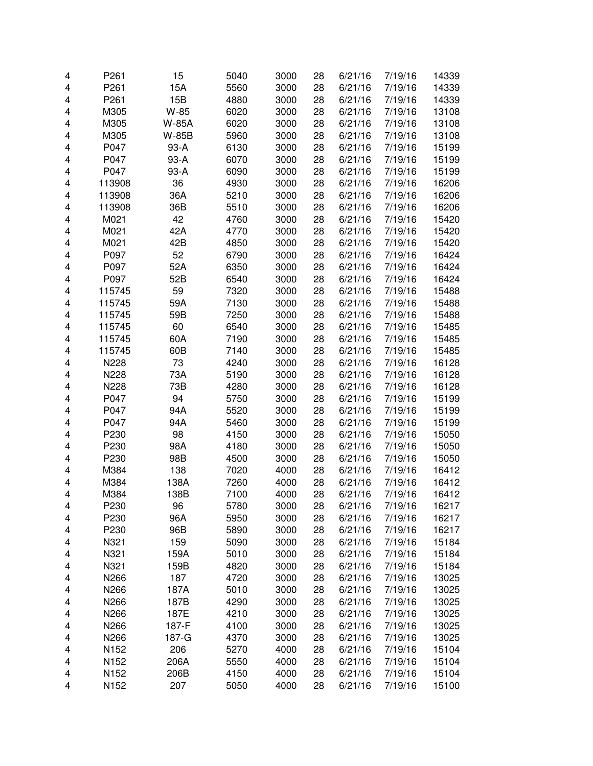| P261<br>15A<br>5560<br>3000<br>7/19/16<br>4<br>28<br>6/21/16<br>15B<br>P261<br>7/19/16<br>4<br>4880<br>3000<br>28<br>6/21/16<br>W-85<br>4<br>M305<br>6020<br>3000<br>28<br>6/21/16<br>7/19/16<br>4<br>M305<br>W-85A<br>6020<br>3000<br>28<br>6/21/16<br>7/19/16<br>13108<br>4<br>M305<br>W-85B<br>5960<br>3000<br>28<br>6/21/16<br>7/19/16<br>13108<br>4<br>P047<br>93-A<br>6130<br>3000<br>28<br>6/21/16<br>7/19/16<br>15199<br>P047<br>93-A<br>3000<br>15199<br>4<br>6070<br>28<br>6/21/16<br>7/19/16<br>P047<br>6090<br>3000<br>15199<br>4<br>93-A<br>28<br>6/21/16<br>7/19/16<br>36<br>4930<br>3000<br>4<br>113908<br>28<br>6/21/16<br>7/19/16<br>36A<br>3000<br>4<br>113908<br>5210<br>28<br>6/21/16<br>7/19/16<br>16206<br>4<br>113908<br>36B<br>5510<br>3000<br>28<br>6/21/16<br>7/19/16<br>16206<br>42<br>4<br>M021<br>4760<br>3000<br>28<br>6/21/16<br>7/19/16<br>15420<br>42A<br>4<br>M021<br>4770<br>3000<br>28<br>6/21/16<br>7/19/16<br>15420<br>42B<br>4<br>M021<br>4850<br>3000<br>28<br>6/21/16<br>7/19/16<br>15420<br>4<br>P097<br>52<br>28<br>16424<br>6790<br>3000<br>6/21/16<br>7/19/16<br>4<br>P097<br>52A<br>3000<br>16424<br>6350<br>28<br>6/21/16<br>7/19/16<br>4<br>P097<br>52B<br>16424<br>6540<br>3000<br>28<br>6/21/16<br>7/19/16<br>59<br>7320<br>15488<br>4<br>115745<br>3000<br>28<br>6/21/16<br>7/19/16<br>59A<br>7130<br>4<br>115745<br>3000<br>28<br>6/21/16<br>7/19/16<br>15488<br>59B<br>4<br>115745<br>7250<br>3000<br>28<br>6/21/16<br>7/19/16<br>15488<br>60<br>4<br>115745<br>6540<br>3000<br>28<br>6/21/16<br>7/19/16<br>15485<br>60A<br>7190<br>4<br>115745<br>3000<br>28<br>6/21/16<br>7/19/16<br>15485<br>60B<br>7140<br>3000<br>4<br>115745<br>28<br>6/21/16<br>7/19/16<br>15485<br>N228<br>73<br>4240<br>3000<br>16128<br>4<br>28<br>6/21/16<br>7/19/16<br>N228<br>73A<br>3000<br>4<br>5190<br>28<br>6/21/16<br>7/19/16<br>16128<br>N228<br>73B<br>3000<br>28<br>7/19/16<br>16128<br>4<br>4280<br>6/21/16<br>94<br>15199<br>4<br>P047<br>5750<br>3000<br>28<br>6/21/16<br>7/19/16<br>P047<br>94A<br>28<br>7/19/16<br>15199<br>4<br>5520<br>3000<br>6/21/16<br>P047<br>94A<br>3000<br>15199<br>4<br>5460<br>28<br>6/21/16<br>7/19/16<br>P230<br>98<br>3000<br>7/19/16<br>4<br>4150<br>28<br>6/21/16<br>15050<br>P230<br>98A<br>4180<br>3000<br>7/19/16<br>15050<br>4<br>28<br>6/21/16<br>4<br>P230<br>98B<br>3000<br>28<br>7/19/16<br>15050<br>4500<br>6/21/16<br>4<br>138<br>7020<br>4000<br>M384<br>28<br>6/21/16<br>7/19/16<br>16412<br>138A<br>4<br>M384<br>7260<br>4000<br>28<br>6/21/16<br>7/19/16<br>16412<br>M384<br>7/19/16<br>16412<br>4<br>138B<br>7100<br>4000<br>28<br>6/21/16<br>4<br>P230<br>96<br>5780<br>3000<br>28<br>6/21/16<br>7/19/16<br>16217<br>16217<br>P230<br>96A<br>5950<br>3000<br>28<br>6/21/16<br>7/19/16<br>4<br>96B<br>16217<br>P230<br>5890<br>3000<br>28<br>6/21/16<br>7/19/16<br>4<br>159<br>28<br>15184<br>N321<br>5090<br>3000<br>6/21/16<br>7/19/16<br>4<br>N321<br>159A<br>3000<br>28<br>15184<br>5010<br>6/21/16<br>7/19/16<br>4<br>N321<br>3000<br>28<br>15184<br>159B<br>4820<br>6/21/16<br>7/19/16<br>4<br>N266<br>187<br>3000<br>28<br>13025<br>4<br>4720<br>6/21/16<br>7/19/16<br>3000<br>28<br>13025<br>N266<br>187A<br>5010<br>6/21/16<br>7/19/16<br>4<br>3000<br>28<br>7/19/16<br>13025<br>N266<br>187B<br>4290<br>6/21/16<br>4<br>3000<br>13025<br>N266<br>187E<br>4210<br>28<br>6/21/16<br>7/19/16<br>4<br>N266<br>3000<br>7/19/16<br>13025<br>187-F<br>4100<br>28<br>6/21/16<br>4<br>N266<br>3000<br>28<br>7/19/16<br>13025<br>187-G<br>4370<br>6/21/16<br>4<br>206<br>4000<br>28<br>6/21/16<br>15104<br>4<br>N152<br>5270<br>7/19/16<br>206A<br>4000<br>15104<br>4<br>N152<br>5550<br>28<br>6/21/16<br>7/19/16<br>4150<br>4000<br>15104<br>4<br>N152<br>206B<br>28<br>6/21/16<br>7/19/16 | 4 | P261 | 15  | 5040 | 3000 | 28 | 6/21/16 | 7/19/16 | 14339 |
|------------------------------------------------------------------------------------------------------------------------------------------------------------------------------------------------------------------------------------------------------------------------------------------------------------------------------------------------------------------------------------------------------------------------------------------------------------------------------------------------------------------------------------------------------------------------------------------------------------------------------------------------------------------------------------------------------------------------------------------------------------------------------------------------------------------------------------------------------------------------------------------------------------------------------------------------------------------------------------------------------------------------------------------------------------------------------------------------------------------------------------------------------------------------------------------------------------------------------------------------------------------------------------------------------------------------------------------------------------------------------------------------------------------------------------------------------------------------------------------------------------------------------------------------------------------------------------------------------------------------------------------------------------------------------------------------------------------------------------------------------------------------------------------------------------------------------------------------------------------------------------------------------------------------------------------------------------------------------------------------------------------------------------------------------------------------------------------------------------------------------------------------------------------------------------------------------------------------------------------------------------------------------------------------------------------------------------------------------------------------------------------------------------------------------------------------------------------------------------------------------------------------------------------------------------------------------------------------------------------------------------------------------------------------------------------------------------------------------------------------------------------------------------------------------------------------------------------------------------------------------------------------------------------------------------------------------------------------------------------------------------------------------------------------------------------------------------------------------------------------------------------------------------------------------------------------------------------------------------------------------------------------------------------------------------------------------------------------------------------------------------------------------------------------------------------------------------------------------------------------------------------------------------------------------------------------------------------------------------------------------------------------------------------------------------------------------------------------------------------------------------------------------------------|---|------|-----|------|------|----|---------|---------|-------|
|                                                                                                                                                                                                                                                                                                                                                                                                                                                                                                                                                                                                                                                                                                                                                                                                                                                                                                                                                                                                                                                                                                                                                                                                                                                                                                                                                                                                                                                                                                                                                                                                                                                                                                                                                                                                                                                                                                                                                                                                                                                                                                                                                                                                                                                                                                                                                                                                                                                                                                                                                                                                                                                                                                                                                                                                                                                                                                                                                                                                                                                                                                                                                                                                                                                                                                                                                                                                                                                                                                                                                                                                                                                                                                                                                                                          |   |      |     |      |      |    |         |         | 14339 |
|                                                                                                                                                                                                                                                                                                                                                                                                                                                                                                                                                                                                                                                                                                                                                                                                                                                                                                                                                                                                                                                                                                                                                                                                                                                                                                                                                                                                                                                                                                                                                                                                                                                                                                                                                                                                                                                                                                                                                                                                                                                                                                                                                                                                                                                                                                                                                                                                                                                                                                                                                                                                                                                                                                                                                                                                                                                                                                                                                                                                                                                                                                                                                                                                                                                                                                                                                                                                                                                                                                                                                                                                                                                                                                                                                                                          |   |      |     |      |      |    |         |         | 14339 |
|                                                                                                                                                                                                                                                                                                                                                                                                                                                                                                                                                                                                                                                                                                                                                                                                                                                                                                                                                                                                                                                                                                                                                                                                                                                                                                                                                                                                                                                                                                                                                                                                                                                                                                                                                                                                                                                                                                                                                                                                                                                                                                                                                                                                                                                                                                                                                                                                                                                                                                                                                                                                                                                                                                                                                                                                                                                                                                                                                                                                                                                                                                                                                                                                                                                                                                                                                                                                                                                                                                                                                                                                                                                                                                                                                                                          |   |      |     |      |      |    |         |         | 13108 |
|                                                                                                                                                                                                                                                                                                                                                                                                                                                                                                                                                                                                                                                                                                                                                                                                                                                                                                                                                                                                                                                                                                                                                                                                                                                                                                                                                                                                                                                                                                                                                                                                                                                                                                                                                                                                                                                                                                                                                                                                                                                                                                                                                                                                                                                                                                                                                                                                                                                                                                                                                                                                                                                                                                                                                                                                                                                                                                                                                                                                                                                                                                                                                                                                                                                                                                                                                                                                                                                                                                                                                                                                                                                                                                                                                                                          |   |      |     |      |      |    |         |         |       |
|                                                                                                                                                                                                                                                                                                                                                                                                                                                                                                                                                                                                                                                                                                                                                                                                                                                                                                                                                                                                                                                                                                                                                                                                                                                                                                                                                                                                                                                                                                                                                                                                                                                                                                                                                                                                                                                                                                                                                                                                                                                                                                                                                                                                                                                                                                                                                                                                                                                                                                                                                                                                                                                                                                                                                                                                                                                                                                                                                                                                                                                                                                                                                                                                                                                                                                                                                                                                                                                                                                                                                                                                                                                                                                                                                                                          |   |      |     |      |      |    |         |         |       |
|                                                                                                                                                                                                                                                                                                                                                                                                                                                                                                                                                                                                                                                                                                                                                                                                                                                                                                                                                                                                                                                                                                                                                                                                                                                                                                                                                                                                                                                                                                                                                                                                                                                                                                                                                                                                                                                                                                                                                                                                                                                                                                                                                                                                                                                                                                                                                                                                                                                                                                                                                                                                                                                                                                                                                                                                                                                                                                                                                                                                                                                                                                                                                                                                                                                                                                                                                                                                                                                                                                                                                                                                                                                                                                                                                                                          |   |      |     |      |      |    |         |         |       |
|                                                                                                                                                                                                                                                                                                                                                                                                                                                                                                                                                                                                                                                                                                                                                                                                                                                                                                                                                                                                                                                                                                                                                                                                                                                                                                                                                                                                                                                                                                                                                                                                                                                                                                                                                                                                                                                                                                                                                                                                                                                                                                                                                                                                                                                                                                                                                                                                                                                                                                                                                                                                                                                                                                                                                                                                                                                                                                                                                                                                                                                                                                                                                                                                                                                                                                                                                                                                                                                                                                                                                                                                                                                                                                                                                                                          |   |      |     |      |      |    |         |         |       |
|                                                                                                                                                                                                                                                                                                                                                                                                                                                                                                                                                                                                                                                                                                                                                                                                                                                                                                                                                                                                                                                                                                                                                                                                                                                                                                                                                                                                                                                                                                                                                                                                                                                                                                                                                                                                                                                                                                                                                                                                                                                                                                                                                                                                                                                                                                                                                                                                                                                                                                                                                                                                                                                                                                                                                                                                                                                                                                                                                                                                                                                                                                                                                                                                                                                                                                                                                                                                                                                                                                                                                                                                                                                                                                                                                                                          |   |      |     |      |      |    |         |         |       |
|                                                                                                                                                                                                                                                                                                                                                                                                                                                                                                                                                                                                                                                                                                                                                                                                                                                                                                                                                                                                                                                                                                                                                                                                                                                                                                                                                                                                                                                                                                                                                                                                                                                                                                                                                                                                                                                                                                                                                                                                                                                                                                                                                                                                                                                                                                                                                                                                                                                                                                                                                                                                                                                                                                                                                                                                                                                                                                                                                                                                                                                                                                                                                                                                                                                                                                                                                                                                                                                                                                                                                                                                                                                                                                                                                                                          |   |      |     |      |      |    |         |         | 16206 |
|                                                                                                                                                                                                                                                                                                                                                                                                                                                                                                                                                                                                                                                                                                                                                                                                                                                                                                                                                                                                                                                                                                                                                                                                                                                                                                                                                                                                                                                                                                                                                                                                                                                                                                                                                                                                                                                                                                                                                                                                                                                                                                                                                                                                                                                                                                                                                                                                                                                                                                                                                                                                                                                                                                                                                                                                                                                                                                                                                                                                                                                                                                                                                                                                                                                                                                                                                                                                                                                                                                                                                                                                                                                                                                                                                                                          |   |      |     |      |      |    |         |         |       |
|                                                                                                                                                                                                                                                                                                                                                                                                                                                                                                                                                                                                                                                                                                                                                                                                                                                                                                                                                                                                                                                                                                                                                                                                                                                                                                                                                                                                                                                                                                                                                                                                                                                                                                                                                                                                                                                                                                                                                                                                                                                                                                                                                                                                                                                                                                                                                                                                                                                                                                                                                                                                                                                                                                                                                                                                                                                                                                                                                                                                                                                                                                                                                                                                                                                                                                                                                                                                                                                                                                                                                                                                                                                                                                                                                                                          |   |      |     |      |      |    |         |         |       |
|                                                                                                                                                                                                                                                                                                                                                                                                                                                                                                                                                                                                                                                                                                                                                                                                                                                                                                                                                                                                                                                                                                                                                                                                                                                                                                                                                                                                                                                                                                                                                                                                                                                                                                                                                                                                                                                                                                                                                                                                                                                                                                                                                                                                                                                                                                                                                                                                                                                                                                                                                                                                                                                                                                                                                                                                                                                                                                                                                                                                                                                                                                                                                                                                                                                                                                                                                                                                                                                                                                                                                                                                                                                                                                                                                                                          |   |      |     |      |      |    |         |         |       |
|                                                                                                                                                                                                                                                                                                                                                                                                                                                                                                                                                                                                                                                                                                                                                                                                                                                                                                                                                                                                                                                                                                                                                                                                                                                                                                                                                                                                                                                                                                                                                                                                                                                                                                                                                                                                                                                                                                                                                                                                                                                                                                                                                                                                                                                                                                                                                                                                                                                                                                                                                                                                                                                                                                                                                                                                                                                                                                                                                                                                                                                                                                                                                                                                                                                                                                                                                                                                                                                                                                                                                                                                                                                                                                                                                                                          |   |      |     |      |      |    |         |         |       |
|                                                                                                                                                                                                                                                                                                                                                                                                                                                                                                                                                                                                                                                                                                                                                                                                                                                                                                                                                                                                                                                                                                                                                                                                                                                                                                                                                                                                                                                                                                                                                                                                                                                                                                                                                                                                                                                                                                                                                                                                                                                                                                                                                                                                                                                                                                                                                                                                                                                                                                                                                                                                                                                                                                                                                                                                                                                                                                                                                                                                                                                                                                                                                                                                                                                                                                                                                                                                                                                                                                                                                                                                                                                                                                                                                                                          |   |      |     |      |      |    |         |         |       |
|                                                                                                                                                                                                                                                                                                                                                                                                                                                                                                                                                                                                                                                                                                                                                                                                                                                                                                                                                                                                                                                                                                                                                                                                                                                                                                                                                                                                                                                                                                                                                                                                                                                                                                                                                                                                                                                                                                                                                                                                                                                                                                                                                                                                                                                                                                                                                                                                                                                                                                                                                                                                                                                                                                                                                                                                                                                                                                                                                                                                                                                                                                                                                                                                                                                                                                                                                                                                                                                                                                                                                                                                                                                                                                                                                                                          |   |      |     |      |      |    |         |         |       |
|                                                                                                                                                                                                                                                                                                                                                                                                                                                                                                                                                                                                                                                                                                                                                                                                                                                                                                                                                                                                                                                                                                                                                                                                                                                                                                                                                                                                                                                                                                                                                                                                                                                                                                                                                                                                                                                                                                                                                                                                                                                                                                                                                                                                                                                                                                                                                                                                                                                                                                                                                                                                                                                                                                                                                                                                                                                                                                                                                                                                                                                                                                                                                                                                                                                                                                                                                                                                                                                                                                                                                                                                                                                                                                                                                                                          |   |      |     |      |      |    |         |         |       |
|                                                                                                                                                                                                                                                                                                                                                                                                                                                                                                                                                                                                                                                                                                                                                                                                                                                                                                                                                                                                                                                                                                                                                                                                                                                                                                                                                                                                                                                                                                                                                                                                                                                                                                                                                                                                                                                                                                                                                                                                                                                                                                                                                                                                                                                                                                                                                                                                                                                                                                                                                                                                                                                                                                                                                                                                                                                                                                                                                                                                                                                                                                                                                                                                                                                                                                                                                                                                                                                                                                                                                                                                                                                                                                                                                                                          |   |      |     |      |      |    |         |         |       |
|                                                                                                                                                                                                                                                                                                                                                                                                                                                                                                                                                                                                                                                                                                                                                                                                                                                                                                                                                                                                                                                                                                                                                                                                                                                                                                                                                                                                                                                                                                                                                                                                                                                                                                                                                                                                                                                                                                                                                                                                                                                                                                                                                                                                                                                                                                                                                                                                                                                                                                                                                                                                                                                                                                                                                                                                                                                                                                                                                                                                                                                                                                                                                                                                                                                                                                                                                                                                                                                                                                                                                                                                                                                                                                                                                                                          |   |      |     |      |      |    |         |         |       |
|                                                                                                                                                                                                                                                                                                                                                                                                                                                                                                                                                                                                                                                                                                                                                                                                                                                                                                                                                                                                                                                                                                                                                                                                                                                                                                                                                                                                                                                                                                                                                                                                                                                                                                                                                                                                                                                                                                                                                                                                                                                                                                                                                                                                                                                                                                                                                                                                                                                                                                                                                                                                                                                                                                                                                                                                                                                                                                                                                                                                                                                                                                                                                                                                                                                                                                                                                                                                                                                                                                                                                                                                                                                                                                                                                                                          |   |      |     |      |      |    |         |         |       |
|                                                                                                                                                                                                                                                                                                                                                                                                                                                                                                                                                                                                                                                                                                                                                                                                                                                                                                                                                                                                                                                                                                                                                                                                                                                                                                                                                                                                                                                                                                                                                                                                                                                                                                                                                                                                                                                                                                                                                                                                                                                                                                                                                                                                                                                                                                                                                                                                                                                                                                                                                                                                                                                                                                                                                                                                                                                                                                                                                                                                                                                                                                                                                                                                                                                                                                                                                                                                                                                                                                                                                                                                                                                                                                                                                                                          |   |      |     |      |      |    |         |         |       |
|                                                                                                                                                                                                                                                                                                                                                                                                                                                                                                                                                                                                                                                                                                                                                                                                                                                                                                                                                                                                                                                                                                                                                                                                                                                                                                                                                                                                                                                                                                                                                                                                                                                                                                                                                                                                                                                                                                                                                                                                                                                                                                                                                                                                                                                                                                                                                                                                                                                                                                                                                                                                                                                                                                                                                                                                                                                                                                                                                                                                                                                                                                                                                                                                                                                                                                                                                                                                                                                                                                                                                                                                                                                                                                                                                                                          |   |      |     |      |      |    |         |         |       |
|                                                                                                                                                                                                                                                                                                                                                                                                                                                                                                                                                                                                                                                                                                                                                                                                                                                                                                                                                                                                                                                                                                                                                                                                                                                                                                                                                                                                                                                                                                                                                                                                                                                                                                                                                                                                                                                                                                                                                                                                                                                                                                                                                                                                                                                                                                                                                                                                                                                                                                                                                                                                                                                                                                                                                                                                                                                                                                                                                                                                                                                                                                                                                                                                                                                                                                                                                                                                                                                                                                                                                                                                                                                                                                                                                                                          |   |      |     |      |      |    |         |         |       |
|                                                                                                                                                                                                                                                                                                                                                                                                                                                                                                                                                                                                                                                                                                                                                                                                                                                                                                                                                                                                                                                                                                                                                                                                                                                                                                                                                                                                                                                                                                                                                                                                                                                                                                                                                                                                                                                                                                                                                                                                                                                                                                                                                                                                                                                                                                                                                                                                                                                                                                                                                                                                                                                                                                                                                                                                                                                                                                                                                                                                                                                                                                                                                                                                                                                                                                                                                                                                                                                                                                                                                                                                                                                                                                                                                                                          |   |      |     |      |      |    |         |         |       |
|                                                                                                                                                                                                                                                                                                                                                                                                                                                                                                                                                                                                                                                                                                                                                                                                                                                                                                                                                                                                                                                                                                                                                                                                                                                                                                                                                                                                                                                                                                                                                                                                                                                                                                                                                                                                                                                                                                                                                                                                                                                                                                                                                                                                                                                                                                                                                                                                                                                                                                                                                                                                                                                                                                                                                                                                                                                                                                                                                                                                                                                                                                                                                                                                                                                                                                                                                                                                                                                                                                                                                                                                                                                                                                                                                                                          |   |      |     |      |      |    |         |         |       |
|                                                                                                                                                                                                                                                                                                                                                                                                                                                                                                                                                                                                                                                                                                                                                                                                                                                                                                                                                                                                                                                                                                                                                                                                                                                                                                                                                                                                                                                                                                                                                                                                                                                                                                                                                                                                                                                                                                                                                                                                                                                                                                                                                                                                                                                                                                                                                                                                                                                                                                                                                                                                                                                                                                                                                                                                                                                                                                                                                                                                                                                                                                                                                                                                                                                                                                                                                                                                                                                                                                                                                                                                                                                                                                                                                                                          |   |      |     |      |      |    |         |         |       |
|                                                                                                                                                                                                                                                                                                                                                                                                                                                                                                                                                                                                                                                                                                                                                                                                                                                                                                                                                                                                                                                                                                                                                                                                                                                                                                                                                                                                                                                                                                                                                                                                                                                                                                                                                                                                                                                                                                                                                                                                                                                                                                                                                                                                                                                                                                                                                                                                                                                                                                                                                                                                                                                                                                                                                                                                                                                                                                                                                                                                                                                                                                                                                                                                                                                                                                                                                                                                                                                                                                                                                                                                                                                                                                                                                                                          |   |      |     |      |      |    |         |         |       |
|                                                                                                                                                                                                                                                                                                                                                                                                                                                                                                                                                                                                                                                                                                                                                                                                                                                                                                                                                                                                                                                                                                                                                                                                                                                                                                                                                                                                                                                                                                                                                                                                                                                                                                                                                                                                                                                                                                                                                                                                                                                                                                                                                                                                                                                                                                                                                                                                                                                                                                                                                                                                                                                                                                                                                                                                                                                                                                                                                                                                                                                                                                                                                                                                                                                                                                                                                                                                                                                                                                                                                                                                                                                                                                                                                                                          |   |      |     |      |      |    |         |         |       |
|                                                                                                                                                                                                                                                                                                                                                                                                                                                                                                                                                                                                                                                                                                                                                                                                                                                                                                                                                                                                                                                                                                                                                                                                                                                                                                                                                                                                                                                                                                                                                                                                                                                                                                                                                                                                                                                                                                                                                                                                                                                                                                                                                                                                                                                                                                                                                                                                                                                                                                                                                                                                                                                                                                                                                                                                                                                                                                                                                                                                                                                                                                                                                                                                                                                                                                                                                                                                                                                                                                                                                                                                                                                                                                                                                                                          |   |      |     |      |      |    |         |         |       |
|                                                                                                                                                                                                                                                                                                                                                                                                                                                                                                                                                                                                                                                                                                                                                                                                                                                                                                                                                                                                                                                                                                                                                                                                                                                                                                                                                                                                                                                                                                                                                                                                                                                                                                                                                                                                                                                                                                                                                                                                                                                                                                                                                                                                                                                                                                                                                                                                                                                                                                                                                                                                                                                                                                                                                                                                                                                                                                                                                                                                                                                                                                                                                                                                                                                                                                                                                                                                                                                                                                                                                                                                                                                                                                                                                                                          |   |      |     |      |      |    |         |         |       |
|                                                                                                                                                                                                                                                                                                                                                                                                                                                                                                                                                                                                                                                                                                                                                                                                                                                                                                                                                                                                                                                                                                                                                                                                                                                                                                                                                                                                                                                                                                                                                                                                                                                                                                                                                                                                                                                                                                                                                                                                                                                                                                                                                                                                                                                                                                                                                                                                                                                                                                                                                                                                                                                                                                                                                                                                                                                                                                                                                                                                                                                                                                                                                                                                                                                                                                                                                                                                                                                                                                                                                                                                                                                                                                                                                                                          |   |      |     |      |      |    |         |         |       |
|                                                                                                                                                                                                                                                                                                                                                                                                                                                                                                                                                                                                                                                                                                                                                                                                                                                                                                                                                                                                                                                                                                                                                                                                                                                                                                                                                                                                                                                                                                                                                                                                                                                                                                                                                                                                                                                                                                                                                                                                                                                                                                                                                                                                                                                                                                                                                                                                                                                                                                                                                                                                                                                                                                                                                                                                                                                                                                                                                                                                                                                                                                                                                                                                                                                                                                                                                                                                                                                                                                                                                                                                                                                                                                                                                                                          |   |      |     |      |      |    |         |         |       |
|                                                                                                                                                                                                                                                                                                                                                                                                                                                                                                                                                                                                                                                                                                                                                                                                                                                                                                                                                                                                                                                                                                                                                                                                                                                                                                                                                                                                                                                                                                                                                                                                                                                                                                                                                                                                                                                                                                                                                                                                                                                                                                                                                                                                                                                                                                                                                                                                                                                                                                                                                                                                                                                                                                                                                                                                                                                                                                                                                                                                                                                                                                                                                                                                                                                                                                                                                                                                                                                                                                                                                                                                                                                                                                                                                                                          |   |      |     |      |      |    |         |         |       |
|                                                                                                                                                                                                                                                                                                                                                                                                                                                                                                                                                                                                                                                                                                                                                                                                                                                                                                                                                                                                                                                                                                                                                                                                                                                                                                                                                                                                                                                                                                                                                                                                                                                                                                                                                                                                                                                                                                                                                                                                                                                                                                                                                                                                                                                                                                                                                                                                                                                                                                                                                                                                                                                                                                                                                                                                                                                                                                                                                                                                                                                                                                                                                                                                                                                                                                                                                                                                                                                                                                                                                                                                                                                                                                                                                                                          |   |      |     |      |      |    |         |         |       |
|                                                                                                                                                                                                                                                                                                                                                                                                                                                                                                                                                                                                                                                                                                                                                                                                                                                                                                                                                                                                                                                                                                                                                                                                                                                                                                                                                                                                                                                                                                                                                                                                                                                                                                                                                                                                                                                                                                                                                                                                                                                                                                                                                                                                                                                                                                                                                                                                                                                                                                                                                                                                                                                                                                                                                                                                                                                                                                                                                                                                                                                                                                                                                                                                                                                                                                                                                                                                                                                                                                                                                                                                                                                                                                                                                                                          |   |      |     |      |      |    |         |         |       |
|                                                                                                                                                                                                                                                                                                                                                                                                                                                                                                                                                                                                                                                                                                                                                                                                                                                                                                                                                                                                                                                                                                                                                                                                                                                                                                                                                                                                                                                                                                                                                                                                                                                                                                                                                                                                                                                                                                                                                                                                                                                                                                                                                                                                                                                                                                                                                                                                                                                                                                                                                                                                                                                                                                                                                                                                                                                                                                                                                                                                                                                                                                                                                                                                                                                                                                                                                                                                                                                                                                                                                                                                                                                                                                                                                                                          |   |      |     |      |      |    |         |         |       |
|                                                                                                                                                                                                                                                                                                                                                                                                                                                                                                                                                                                                                                                                                                                                                                                                                                                                                                                                                                                                                                                                                                                                                                                                                                                                                                                                                                                                                                                                                                                                                                                                                                                                                                                                                                                                                                                                                                                                                                                                                                                                                                                                                                                                                                                                                                                                                                                                                                                                                                                                                                                                                                                                                                                                                                                                                                                                                                                                                                                                                                                                                                                                                                                                                                                                                                                                                                                                                                                                                                                                                                                                                                                                                                                                                                                          |   |      |     |      |      |    |         |         |       |
|                                                                                                                                                                                                                                                                                                                                                                                                                                                                                                                                                                                                                                                                                                                                                                                                                                                                                                                                                                                                                                                                                                                                                                                                                                                                                                                                                                                                                                                                                                                                                                                                                                                                                                                                                                                                                                                                                                                                                                                                                                                                                                                                                                                                                                                                                                                                                                                                                                                                                                                                                                                                                                                                                                                                                                                                                                                                                                                                                                                                                                                                                                                                                                                                                                                                                                                                                                                                                                                                                                                                                                                                                                                                                                                                                                                          |   |      |     |      |      |    |         |         |       |
|                                                                                                                                                                                                                                                                                                                                                                                                                                                                                                                                                                                                                                                                                                                                                                                                                                                                                                                                                                                                                                                                                                                                                                                                                                                                                                                                                                                                                                                                                                                                                                                                                                                                                                                                                                                                                                                                                                                                                                                                                                                                                                                                                                                                                                                                                                                                                                                                                                                                                                                                                                                                                                                                                                                                                                                                                                                                                                                                                                                                                                                                                                                                                                                                                                                                                                                                                                                                                                                                                                                                                                                                                                                                                                                                                                                          |   |      |     |      |      |    |         |         |       |
|                                                                                                                                                                                                                                                                                                                                                                                                                                                                                                                                                                                                                                                                                                                                                                                                                                                                                                                                                                                                                                                                                                                                                                                                                                                                                                                                                                                                                                                                                                                                                                                                                                                                                                                                                                                                                                                                                                                                                                                                                                                                                                                                                                                                                                                                                                                                                                                                                                                                                                                                                                                                                                                                                                                                                                                                                                                                                                                                                                                                                                                                                                                                                                                                                                                                                                                                                                                                                                                                                                                                                                                                                                                                                                                                                                                          |   |      |     |      |      |    |         |         |       |
|                                                                                                                                                                                                                                                                                                                                                                                                                                                                                                                                                                                                                                                                                                                                                                                                                                                                                                                                                                                                                                                                                                                                                                                                                                                                                                                                                                                                                                                                                                                                                                                                                                                                                                                                                                                                                                                                                                                                                                                                                                                                                                                                                                                                                                                                                                                                                                                                                                                                                                                                                                                                                                                                                                                                                                                                                                                                                                                                                                                                                                                                                                                                                                                                                                                                                                                                                                                                                                                                                                                                                                                                                                                                                                                                                                                          |   |      |     |      |      |    |         |         |       |
|                                                                                                                                                                                                                                                                                                                                                                                                                                                                                                                                                                                                                                                                                                                                                                                                                                                                                                                                                                                                                                                                                                                                                                                                                                                                                                                                                                                                                                                                                                                                                                                                                                                                                                                                                                                                                                                                                                                                                                                                                                                                                                                                                                                                                                                                                                                                                                                                                                                                                                                                                                                                                                                                                                                                                                                                                                                                                                                                                                                                                                                                                                                                                                                                                                                                                                                                                                                                                                                                                                                                                                                                                                                                                                                                                                                          |   |      |     |      |      |    |         |         |       |
|                                                                                                                                                                                                                                                                                                                                                                                                                                                                                                                                                                                                                                                                                                                                                                                                                                                                                                                                                                                                                                                                                                                                                                                                                                                                                                                                                                                                                                                                                                                                                                                                                                                                                                                                                                                                                                                                                                                                                                                                                                                                                                                                                                                                                                                                                                                                                                                                                                                                                                                                                                                                                                                                                                                                                                                                                                                                                                                                                                                                                                                                                                                                                                                                                                                                                                                                                                                                                                                                                                                                                                                                                                                                                                                                                                                          |   |      |     |      |      |    |         |         |       |
|                                                                                                                                                                                                                                                                                                                                                                                                                                                                                                                                                                                                                                                                                                                                                                                                                                                                                                                                                                                                                                                                                                                                                                                                                                                                                                                                                                                                                                                                                                                                                                                                                                                                                                                                                                                                                                                                                                                                                                                                                                                                                                                                                                                                                                                                                                                                                                                                                                                                                                                                                                                                                                                                                                                                                                                                                                                                                                                                                                                                                                                                                                                                                                                                                                                                                                                                                                                                                                                                                                                                                                                                                                                                                                                                                                                          |   |      |     |      |      |    |         |         |       |
|                                                                                                                                                                                                                                                                                                                                                                                                                                                                                                                                                                                                                                                                                                                                                                                                                                                                                                                                                                                                                                                                                                                                                                                                                                                                                                                                                                                                                                                                                                                                                                                                                                                                                                                                                                                                                                                                                                                                                                                                                                                                                                                                                                                                                                                                                                                                                                                                                                                                                                                                                                                                                                                                                                                                                                                                                                                                                                                                                                                                                                                                                                                                                                                                                                                                                                                                                                                                                                                                                                                                                                                                                                                                                                                                                                                          |   |      |     |      |      |    |         |         |       |
|                                                                                                                                                                                                                                                                                                                                                                                                                                                                                                                                                                                                                                                                                                                                                                                                                                                                                                                                                                                                                                                                                                                                                                                                                                                                                                                                                                                                                                                                                                                                                                                                                                                                                                                                                                                                                                                                                                                                                                                                                                                                                                                                                                                                                                                                                                                                                                                                                                                                                                                                                                                                                                                                                                                                                                                                                                                                                                                                                                                                                                                                                                                                                                                                                                                                                                                                                                                                                                                                                                                                                                                                                                                                                                                                                                                          |   |      |     |      |      |    |         |         |       |
|                                                                                                                                                                                                                                                                                                                                                                                                                                                                                                                                                                                                                                                                                                                                                                                                                                                                                                                                                                                                                                                                                                                                                                                                                                                                                                                                                                                                                                                                                                                                                                                                                                                                                                                                                                                                                                                                                                                                                                                                                                                                                                                                                                                                                                                                                                                                                                                                                                                                                                                                                                                                                                                                                                                                                                                                                                                                                                                                                                                                                                                                                                                                                                                                                                                                                                                                                                                                                                                                                                                                                                                                                                                                                                                                                                                          |   |      |     |      |      |    |         |         |       |
|                                                                                                                                                                                                                                                                                                                                                                                                                                                                                                                                                                                                                                                                                                                                                                                                                                                                                                                                                                                                                                                                                                                                                                                                                                                                                                                                                                                                                                                                                                                                                                                                                                                                                                                                                                                                                                                                                                                                                                                                                                                                                                                                                                                                                                                                                                                                                                                                                                                                                                                                                                                                                                                                                                                                                                                                                                                                                                                                                                                                                                                                                                                                                                                                                                                                                                                                                                                                                                                                                                                                                                                                                                                                                                                                                                                          |   |      |     |      |      |    |         |         |       |
|                                                                                                                                                                                                                                                                                                                                                                                                                                                                                                                                                                                                                                                                                                                                                                                                                                                                                                                                                                                                                                                                                                                                                                                                                                                                                                                                                                                                                                                                                                                                                                                                                                                                                                                                                                                                                                                                                                                                                                                                                                                                                                                                                                                                                                                                                                                                                                                                                                                                                                                                                                                                                                                                                                                                                                                                                                                                                                                                                                                                                                                                                                                                                                                                                                                                                                                                                                                                                                                                                                                                                                                                                                                                                                                                                                                          |   |      |     |      |      |    |         |         |       |
|                                                                                                                                                                                                                                                                                                                                                                                                                                                                                                                                                                                                                                                                                                                                                                                                                                                                                                                                                                                                                                                                                                                                                                                                                                                                                                                                                                                                                                                                                                                                                                                                                                                                                                                                                                                                                                                                                                                                                                                                                                                                                                                                                                                                                                                                                                                                                                                                                                                                                                                                                                                                                                                                                                                                                                                                                                                                                                                                                                                                                                                                                                                                                                                                                                                                                                                                                                                                                                                                                                                                                                                                                                                                                                                                                                                          |   |      |     |      |      |    |         |         |       |
|                                                                                                                                                                                                                                                                                                                                                                                                                                                                                                                                                                                                                                                                                                                                                                                                                                                                                                                                                                                                                                                                                                                                                                                                                                                                                                                                                                                                                                                                                                                                                                                                                                                                                                                                                                                                                                                                                                                                                                                                                                                                                                                                                                                                                                                                                                                                                                                                                                                                                                                                                                                                                                                                                                                                                                                                                                                                                                                                                                                                                                                                                                                                                                                                                                                                                                                                                                                                                                                                                                                                                                                                                                                                                                                                                                                          |   |      |     |      |      |    |         |         |       |
|                                                                                                                                                                                                                                                                                                                                                                                                                                                                                                                                                                                                                                                                                                                                                                                                                                                                                                                                                                                                                                                                                                                                                                                                                                                                                                                                                                                                                                                                                                                                                                                                                                                                                                                                                                                                                                                                                                                                                                                                                                                                                                                                                                                                                                                                                                                                                                                                                                                                                                                                                                                                                                                                                                                                                                                                                                                                                                                                                                                                                                                                                                                                                                                                                                                                                                                                                                                                                                                                                                                                                                                                                                                                                                                                                                                          | 4 | N152 | 207 | 5050 | 4000 | 28 | 6/21/16 | 7/19/16 | 15100 |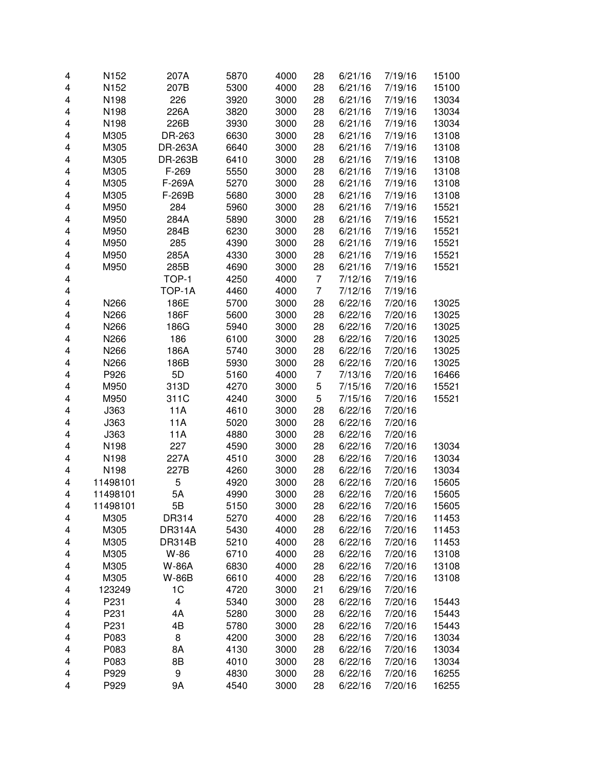| 4 | N152     | 207A           | 5870 | 4000 | 28             | 6/21/16 | 7/19/16 | 15100 |
|---|----------|----------------|------|------|----------------|---------|---------|-------|
| 4 | N152     | 207B           | 5300 | 4000 | 28             | 6/21/16 | 7/19/16 | 15100 |
| 4 | N198     | 226            | 3920 | 3000 | 28             | 6/21/16 | 7/19/16 | 13034 |
| 4 | N198     | 226A           | 3820 | 3000 | 28             | 6/21/16 | 7/19/16 | 13034 |
| 4 | N198     | 226B           | 3930 | 3000 | 28             | 6/21/16 | 7/19/16 | 13034 |
| 4 | M305     | DR-263         | 6630 | 3000 | 28             | 6/21/16 | 7/19/16 | 13108 |
| 4 | M305     | DR-263A        | 6640 | 3000 | 28             | 6/21/16 | 7/19/16 | 13108 |
| 4 | M305     | <b>DR-263B</b> | 6410 | 3000 | 28             | 6/21/16 | 7/19/16 | 13108 |
| 4 | M305     | F-269          | 5550 | 3000 | 28             | 6/21/16 | 7/19/16 | 13108 |
| 4 | M305     | F-269A         | 5270 | 3000 | 28             | 6/21/16 | 7/19/16 | 13108 |
| 4 | M305     | F-269B         | 5680 | 3000 | 28             | 6/21/16 | 7/19/16 | 13108 |
| 4 | M950     | 284            | 5960 | 3000 | 28             | 6/21/16 | 7/19/16 | 15521 |
| 4 | M950     | 284A           | 5890 | 3000 | 28             | 6/21/16 | 7/19/16 | 15521 |
| 4 | M950     | 284B           | 6230 | 3000 | 28             | 6/21/16 | 7/19/16 | 15521 |
| 4 | M950     | 285            | 4390 | 3000 | 28             | 6/21/16 | 7/19/16 | 15521 |
| 4 | M950     | 285A           | 4330 | 3000 | 28             | 6/21/16 | 7/19/16 | 15521 |
| 4 | M950     | 285B           | 4690 | 3000 | 28             | 6/21/16 | 7/19/16 | 15521 |
| 4 |          | TOP-1          | 4250 | 4000 | 7              | 7/12/16 | 7/19/16 |       |
| 4 |          | TOP-1A         | 4460 | 4000 | 7              | 7/12/16 | 7/19/16 |       |
| 4 | N266     | 186E           | 5700 | 3000 | 28             | 6/22/16 | 7/20/16 | 13025 |
| 4 | N266     | 186F           | 5600 | 3000 | 28             | 6/22/16 | 7/20/16 | 13025 |
| 4 | N266     | 186G           | 5940 | 3000 | 28             | 6/22/16 | 7/20/16 | 13025 |
| 4 | N266     | 186            | 6100 | 3000 | 28             | 6/22/16 | 7/20/16 | 13025 |
| 4 | N266     | 186A           | 5740 | 3000 | 28             | 6/22/16 | 7/20/16 | 13025 |
| 4 | N266     | 186B           | 5930 | 3000 | 28             | 6/22/16 | 7/20/16 | 13025 |
| 4 | P926     | 5D             | 5160 | 4000 | $\overline{7}$ | 7/13/16 | 7/20/16 | 16466 |
| 4 | M950     | 313D           | 4270 | 3000 | 5              | 7/15/16 | 7/20/16 | 15521 |
| 4 | M950     | 311C           | 4240 | 3000 | 5              | 7/15/16 | 7/20/16 | 15521 |
| 4 | J363     | 11A            | 4610 | 3000 | 28             | 6/22/16 | 7/20/16 |       |
|   | J363     | 11A            | 5020 | 3000 |                |         | 7/20/16 |       |
| 4 | J363     | 11A            | 4880 | 3000 | 28<br>28       | 6/22/16 | 7/20/16 |       |
| 4 |          |                |      |      |                | 6/22/16 |         |       |
| 4 | N198     | 227            | 4590 | 3000 | 28             | 6/22/16 | 7/20/16 | 13034 |
| 4 | N198     | 227A           | 4510 | 3000 | 28             | 6/22/16 | 7/20/16 | 13034 |
| 4 | N198     | 227B           | 4260 | 3000 | 28             | 6/22/16 | 7/20/16 | 13034 |
| 4 | 11498101 | 5              | 4920 | 3000 | 28             | 6/22/16 | 7/20/16 | 15605 |
| 4 | 11498101 | 5A             | 4990 | 3000 | 28             | 6/22/16 | 7/20/16 | 15605 |
| 4 | 11498101 | 5В             | 5150 | 3000 | 28             | 6/22/16 | 7/20/16 | 15605 |
| 4 | M305     | DR314          | 5270 | 4000 | 28             | 6/22/16 | 7/20/16 | 11453 |
| 4 | M305     | <b>DR314A</b>  | 5430 | 4000 | 28             | 6/22/16 | 7/20/16 | 11453 |
| 4 | M305     | <b>DR314B</b>  | 5210 | 4000 | 28             | 6/22/16 | 7/20/16 | 11453 |
| 4 | M305     | W-86           | 6710 | 4000 | 28             | 6/22/16 | 7/20/16 | 13108 |
| 4 | M305     | <b>W-86A</b>   | 6830 | 4000 | 28             | 6/22/16 | 7/20/16 | 13108 |
| 4 | M305     | W-86B          | 6610 | 4000 | 28             | 6/22/16 | 7/20/16 | 13108 |
| 4 | 123249   | 1C             | 4720 | 3000 | 21             | 6/29/16 | 7/20/16 |       |
| 4 | P231     | 4              | 5340 | 3000 | 28             | 6/22/16 | 7/20/16 | 15443 |
| 4 | P231     | 4A             | 5280 | 3000 | 28             | 6/22/16 | 7/20/16 | 15443 |
| 4 | P231     | 4B             | 5780 | 3000 | 28             | 6/22/16 | 7/20/16 | 15443 |
| 4 | P083     | 8              | 4200 | 3000 | 28             | 6/22/16 | 7/20/16 | 13034 |
| 4 | P083     | 8A             | 4130 | 3000 | 28             | 6/22/16 | 7/20/16 | 13034 |
| 4 | P083     | 8B             | 4010 | 3000 | 28             | 6/22/16 | 7/20/16 | 13034 |
| 4 | P929     | 9              | 4830 | 3000 | 28             | 6/22/16 | 7/20/16 | 16255 |
| 4 | P929     | 9Α             | 4540 | 3000 | 28             | 6/22/16 | 7/20/16 | 16255 |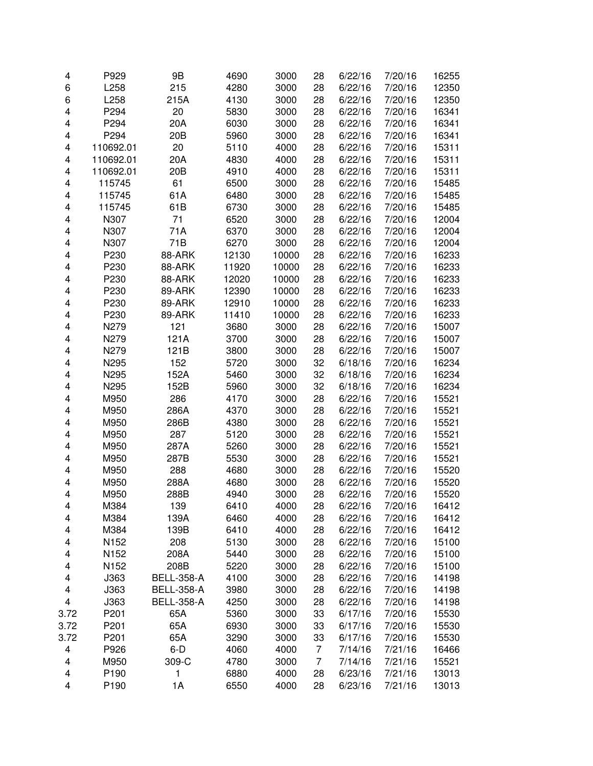| 4    | P929             | 9B                | 4690  | 3000  | 28 | 6/22/16 | 7/20/16 | 16255 |
|------|------------------|-------------------|-------|-------|----|---------|---------|-------|
| 6    | L258             | 215               | 4280  | 3000  | 28 | 6/22/16 | 7/20/16 | 12350 |
| 6    | L258             | 215A              | 4130  | 3000  | 28 | 6/22/16 | 7/20/16 | 12350 |
| 4    | P294             | 20                | 5830  | 3000  | 28 | 6/22/16 | 7/20/16 | 16341 |
| 4    | P294             | 20A               | 6030  | 3000  | 28 | 6/22/16 | 7/20/16 | 16341 |
|      |                  |                   |       |       |    |         |         |       |
| 4    | P294             | 20 <sub>B</sub>   | 5960  | 3000  | 28 | 6/22/16 | 7/20/16 | 16341 |
| 4    | 110692.01        | 20                | 5110  | 4000  | 28 | 6/22/16 | 7/20/16 | 15311 |
| 4    | 110692.01        | 20A               | 4830  | 4000  | 28 | 6/22/16 | 7/20/16 | 15311 |
| 4    | 110692.01        | 20 <sub>B</sub>   | 4910  | 4000  | 28 | 6/22/16 | 7/20/16 | 15311 |
| 4    | 115745           | 61                | 6500  | 3000  | 28 | 6/22/16 | 7/20/16 | 15485 |
| 4    | 115745           | 61A               | 6480  | 3000  | 28 | 6/22/16 | 7/20/16 | 15485 |
| 4    | 115745           | 61B               | 6730  | 3000  | 28 | 6/22/16 | 7/20/16 | 15485 |
| 4    | N307             | 71                | 6520  | 3000  | 28 | 6/22/16 | 7/20/16 | 12004 |
| 4    | N307             | 71A               | 6370  | 3000  | 28 | 6/22/16 | 7/20/16 | 12004 |
| 4    | N307             | 71B               | 6270  | 3000  | 28 | 6/22/16 | 7/20/16 | 12004 |
| 4    | P230             | 88-ARK            | 12130 | 10000 | 28 | 6/22/16 | 7/20/16 | 16233 |
| 4    | P230             | 88-ARK            | 11920 | 10000 | 28 | 6/22/16 | 7/20/16 | 16233 |
| 4    | P230             | 88-ARK            | 12020 | 10000 | 28 | 6/22/16 | 7/20/16 | 16233 |
| 4    | P230             | 89-ARK            | 12390 | 10000 | 28 | 6/22/16 | 7/20/16 | 16233 |
| 4    | P230             | 89-ARK            | 12910 | 10000 | 28 | 6/22/16 | 7/20/16 | 16233 |
| 4    | P230             | 89-ARK            | 11410 | 10000 | 28 | 6/22/16 | 7/20/16 | 16233 |
| 4    | N279             | 121               | 3680  | 3000  | 28 | 6/22/16 | 7/20/16 | 15007 |
| 4    | N279             | 121A              | 3700  | 3000  | 28 | 6/22/16 | 7/20/16 | 15007 |
| 4    | N279             | 121B              | 3800  | 3000  | 28 | 6/22/16 | 7/20/16 | 15007 |
| 4    | N295             | 152               | 5720  | 3000  | 32 | 6/18/16 | 7/20/16 | 16234 |
| 4    | N295             | 152A              | 5460  | 3000  | 32 | 6/18/16 | 7/20/16 | 16234 |
| 4    | N295             | 152B              | 5960  | 3000  | 32 | 6/18/16 | 7/20/16 | 16234 |
| 4    | M950             | 286               | 4170  | 3000  | 28 | 6/22/16 | 7/20/16 | 15521 |
| 4    | M950             | 286A              | 4370  | 3000  | 28 | 6/22/16 | 7/20/16 | 15521 |
| 4    | M950             | 286B              | 4380  | 3000  | 28 | 6/22/16 | 7/20/16 | 15521 |
| 4    | M950             | 287               | 5120  | 3000  | 28 | 6/22/16 | 7/20/16 | 15521 |
| 4    | M950             | 287A              | 5260  | 3000  | 28 | 6/22/16 | 7/20/16 | 15521 |
| 4    | M950             | 287B              | 5530  | 3000  | 28 | 6/22/16 | 7/20/16 | 15521 |
| 4    | M950             | 288               | 4680  | 3000  | 28 | 6/22/16 | 7/20/16 | 15520 |
| 4    | M950             | 288A              | 4680  | 3000  | 28 | 6/22/16 | 7/20/16 | 15520 |
| 4    | M950             | 288B              | 4940  | 3000  | 28 | 6/22/16 | 7/20/16 | 15520 |
| 4    | M384             | 139               | 6410  | 4000  | 28 | 6/22/16 | 7/20/16 | 16412 |
| 4    | M384             | 139A              | 6460  | 4000  | 28 | 6/22/16 | 7/20/16 | 16412 |
| 4    | M384             | 139B              | 6410  | 4000  | 28 | 6/22/16 | 7/20/16 | 16412 |
| 4    | N <sub>152</sub> | 208               | 5130  | 3000  | 28 | 6/22/16 | 7/20/16 | 15100 |
| 4    | N <sub>152</sub> | 208A              | 5440  | 3000  | 28 | 6/22/16 | 7/20/16 | 15100 |
| 4    | N <sub>152</sub> | 208B              | 5220  | 3000  | 28 | 6/22/16 | 7/20/16 | 15100 |
| 4    | J363             | <b>BELL-358-A</b> | 4100  | 3000  | 28 | 6/22/16 | 7/20/16 | 14198 |
| 4    | J363             | <b>BELL-358-A</b> | 3980  | 3000  | 28 | 6/22/16 | 7/20/16 | 14198 |
| 4    | J363             | <b>BELL-358-A</b> | 4250  | 3000  | 28 | 6/22/16 | 7/20/16 | 14198 |
| 3.72 | P201             | 65A               | 5360  | 3000  | 33 | 6/17/16 | 7/20/16 | 15530 |
| 3.72 | P201             | 65A               | 6930  | 3000  | 33 | 6/17/16 | 7/20/16 | 15530 |
| 3.72 | P201             | 65A               | 3290  | 3000  | 33 | 6/17/16 | 7/20/16 | 15530 |
| 4    | P926             | $6-D$             | 4060  | 4000  | 7  | 7/14/16 | 7/21/16 | 16466 |
| 4    | M950             | 309-C             | 4780  | 3000  | 7  | 7/14/16 | 7/21/16 | 15521 |
| 4    | P190             | 1                 | 6880  | 4000  | 28 | 6/23/16 | 7/21/16 | 13013 |
| 4    | P190             | 1A                | 6550  | 4000  | 28 | 6/23/16 | 7/21/16 | 13013 |
|      |                  |                   |       |       |    |         |         |       |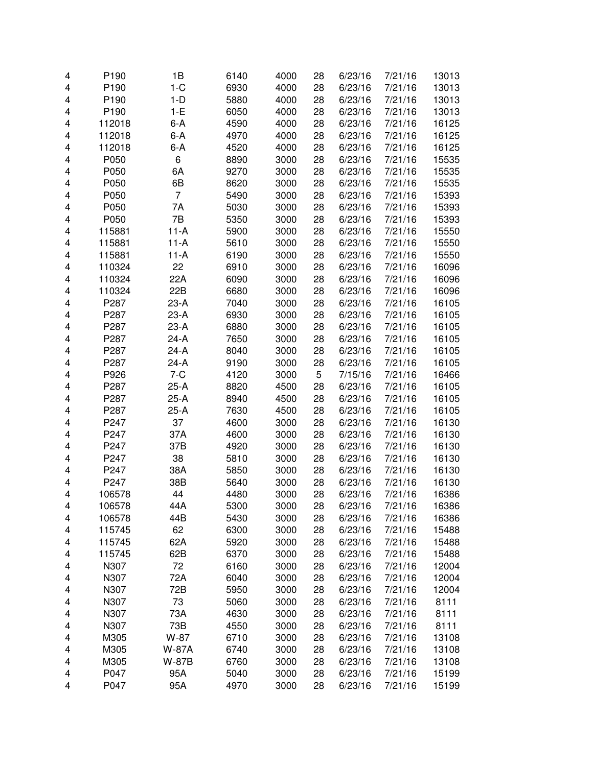| 4 | P <sub>190</sub> | 1B      | 6140 | 4000 | 28 | 6/23/16 | 7/21/16 | 13013 |
|---|------------------|---------|------|------|----|---------|---------|-------|
| 4 | P190             | $1-C$   | 6930 | 4000 | 28 | 6/23/16 | 7/21/16 | 13013 |
| 4 | P <sub>190</sub> | $1-D$   | 5880 | 4000 | 28 | 6/23/16 | 7/21/16 | 13013 |
| 4 | P190             | $1-E$   | 6050 | 4000 | 28 | 6/23/16 | 7/21/16 | 13013 |
| 4 | 112018           | $6-A$   | 4590 | 4000 | 28 | 6/23/16 | 7/21/16 | 16125 |
| 4 | 112018           | $6-A$   | 4970 | 4000 | 28 | 6/23/16 | 7/21/16 | 16125 |
| 4 | 112018           | 6-A     | 4520 | 4000 | 28 | 6/23/16 | 7/21/16 | 16125 |
|   |                  |         |      |      |    |         |         |       |
| 4 | P050             | 6       | 8890 | 3000 | 28 | 6/23/16 | 7/21/16 | 15535 |
| 4 | P050             | 6A      | 9270 | 3000 | 28 | 6/23/16 | 7/21/16 | 15535 |
| 4 | P050             | 6B      | 8620 | 3000 | 28 | 6/23/16 | 7/21/16 | 15535 |
| 4 | P050             | 7       | 5490 | 3000 | 28 | 6/23/16 | 7/21/16 | 15393 |
| 4 | P050             | 7A      | 5030 | 3000 | 28 | 6/23/16 | 7/21/16 | 15393 |
| 4 | P050             | 7B      | 5350 | 3000 | 28 | 6/23/16 | 7/21/16 | 15393 |
| 4 | 115881           | $11-A$  | 5900 | 3000 | 28 | 6/23/16 | 7/21/16 | 15550 |
| 4 | 115881           | $11-A$  | 5610 | 3000 | 28 | 6/23/16 | 7/21/16 | 15550 |
| 4 | 115881           | $11-A$  | 6190 | 3000 | 28 | 6/23/16 | 7/21/16 | 15550 |
| 4 | 110324           | 22      | 6910 | 3000 | 28 | 6/23/16 | 7/21/16 | 16096 |
| 4 | 110324           | 22A     | 6090 | 3000 | 28 | 6/23/16 | 7/21/16 | 16096 |
| 4 | 110324           | 22B     | 6680 | 3000 | 28 | 6/23/16 | 7/21/16 | 16096 |
| 4 | P287             | $23-A$  | 7040 | 3000 | 28 | 6/23/16 | 7/21/16 | 16105 |
| 4 | P287             | $23-A$  | 6930 | 3000 | 28 | 6/23/16 | 7/21/16 | 16105 |
| 4 | P287             | $23-A$  | 6880 | 3000 | 28 | 6/23/16 | 7/21/16 | 16105 |
| 4 | P287             | $24-A$  | 7650 | 3000 | 28 | 6/23/16 | 7/21/16 | 16105 |
| 4 | P287             | 24-A    | 8040 | 3000 | 28 | 6/23/16 | 7/21/16 | 16105 |
| 4 | P287             | $24-A$  | 9190 | 3000 | 28 | 6/23/16 | 7/21/16 | 16105 |
| 4 | P926             | $7 - C$ | 4120 | 3000 | 5  | 7/15/16 | 7/21/16 | 16466 |
| 4 | P287             | $25-A$  | 8820 | 4500 | 28 | 6/23/16 | 7/21/16 | 16105 |
| 4 | P287             | $25-A$  | 8940 | 4500 | 28 | 6/23/16 | 7/21/16 | 16105 |
| 4 | P287             | $25-A$  | 7630 | 4500 | 28 | 6/23/16 | 7/21/16 | 16105 |
| 4 | P247             | 37      | 4600 | 3000 | 28 | 6/23/16 | 7/21/16 | 16130 |
| 4 | P247             | 37A     | 4600 | 3000 | 28 | 6/23/16 | 7/21/16 | 16130 |
|   | P247             | 37B     |      |      |    |         | 7/21/16 |       |
| 4 |                  |         | 4920 | 3000 | 28 | 6/23/16 |         | 16130 |
| 4 | P247             | 38      | 5810 | 3000 | 28 | 6/23/16 | 7/21/16 | 16130 |
| 4 | P247             | 38A     | 5850 | 3000 | 28 | 6/23/16 | 7/21/16 | 16130 |
| 4 | P247             | 38B     | 5640 | 3000 | 28 | 6/23/16 | 7/21/16 | 16130 |
| 4 | 106578           | 44      | 4480 | 3000 | 28 | 6/23/16 | 7/21/16 | 16386 |
| 4 | 106578           | 44A     | 5300 | 3000 | 28 | 6/23/16 | 7/21/16 | 16386 |
| 4 | 106578           | 44B     | 5430 | 3000 | 28 | 6/23/16 | 7/21/16 | 16386 |
| 4 | 115745           | 62      | 6300 | 3000 | 28 | 6/23/16 | 7/21/16 | 15488 |
| 4 | 115745           | 62A     | 5920 | 3000 | 28 | 6/23/16 | 7/21/16 | 15488 |
| 4 | 115745           | 62B     | 6370 | 3000 | 28 | 6/23/16 | 7/21/16 | 15488 |
| 4 | N307             | 72      | 6160 | 3000 | 28 | 6/23/16 | 7/21/16 | 12004 |
| 4 | N307             | 72A     | 6040 | 3000 | 28 | 6/23/16 | 7/21/16 | 12004 |
| 4 | N307             | 72B     | 5950 | 3000 | 28 | 6/23/16 | 7/21/16 | 12004 |
| 4 | N307             | 73      | 5060 | 3000 | 28 | 6/23/16 | 7/21/16 | 8111  |
| 4 | N307             | 73A     | 4630 | 3000 | 28 | 6/23/16 | 7/21/16 | 8111  |
| 4 | N307             | 73B     | 4550 | 3000 | 28 | 6/23/16 | 7/21/16 | 8111  |
| 4 | M305             | W-87    | 6710 | 3000 | 28 | 6/23/16 | 7/21/16 | 13108 |
| 4 | M305             | W-87A   | 6740 | 3000 | 28 | 6/23/16 | 7/21/16 | 13108 |
| 4 | M305             | W-87B   | 6760 | 3000 | 28 | 6/23/16 | 7/21/16 | 13108 |
| 4 | P047             | 95A     | 5040 | 3000 | 28 | 6/23/16 | 7/21/16 | 15199 |
| 4 | P047             | 95A     | 4970 | 3000 | 28 | 6/23/16 | 7/21/16 | 15199 |
|   |                  |         |      |      |    |         |         |       |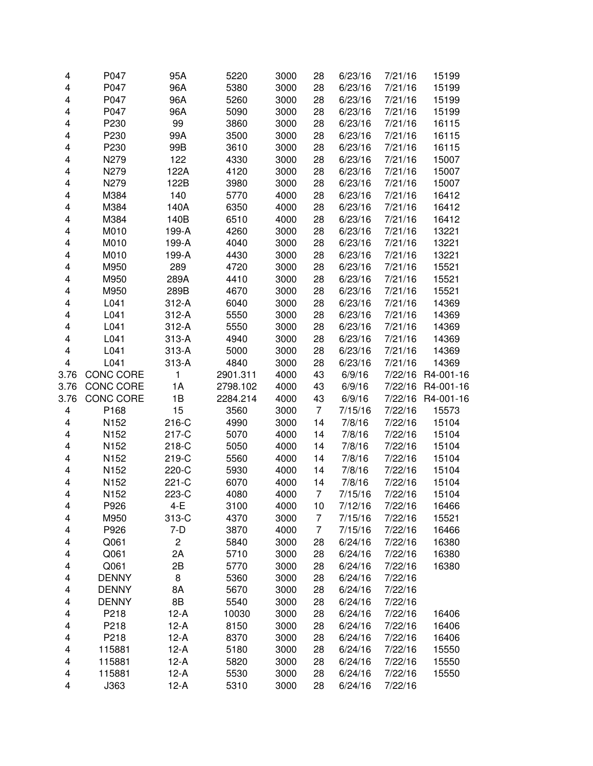| 4    | P047             | 95A                     | 5220     | 3000 | 28             | 6/23/16 | 7/21/16 | 15199     |
|------|------------------|-------------------------|----------|------|----------------|---------|---------|-----------|
| 4    | P047             | 96A                     | 5380     | 3000 | 28             | 6/23/16 | 7/21/16 | 15199     |
| 4    | P047             | 96A                     | 5260     | 3000 | 28             | 6/23/16 | 7/21/16 | 15199     |
| 4    | P047             | 96A                     | 5090     | 3000 | 28             | 6/23/16 | 7/21/16 | 15199     |
| 4    | P230             | 99                      | 3860     | 3000 | 28             | 6/23/16 | 7/21/16 | 16115     |
| 4    | P230             | 99A                     | 3500     | 3000 | 28             | 6/23/16 | 7/21/16 | 16115     |
| 4    | P230             | 99B                     | 3610     | 3000 | 28             | 6/23/16 | 7/21/16 | 16115     |
| 4    | N279             | 122                     | 4330     | 3000 | 28             | 6/23/16 | 7/21/16 | 15007     |
| 4    | N279             | 122A                    | 4120     | 3000 | 28             | 6/23/16 | 7/21/16 | 15007     |
| 4    | N279             | 122B                    | 3980     | 3000 | 28             | 6/23/16 | 7/21/16 | 15007     |
| 4    | M384             | 140                     | 5770     | 4000 | 28             | 6/23/16 | 7/21/16 | 16412     |
| 4    | M384             | 140A                    | 6350     | 4000 | 28             | 6/23/16 | 7/21/16 | 16412     |
| 4    | M384             | 140B                    | 6510     | 4000 | 28             | 6/23/16 | 7/21/16 | 16412     |
| 4    | M010             | 199-A                   | 4260     | 3000 | 28             | 6/23/16 | 7/21/16 | 13221     |
| 4    | M010             | 199-A                   | 4040     | 3000 | 28             | 6/23/16 | 7/21/16 | 13221     |
| 4    | M010             | 199-A                   | 4430     | 3000 | 28             | 6/23/16 | 7/21/16 | 13221     |
| 4    | M950             | 289                     | 4720     | 3000 | 28             | 6/23/16 | 7/21/16 | 15521     |
| 4    | M950             | 289A                    | 4410     | 3000 | 28             | 6/23/16 | 7/21/16 | 15521     |
| 4    | M950             | 289B                    | 4670     | 3000 | 28             | 6/23/16 | 7/21/16 | 15521     |
| 4    | L041             | $312-A$                 | 6040     | 3000 | 28             | 6/23/16 | 7/21/16 | 14369     |
| 4    | L041             | $312-A$                 | 5550     | 3000 | 28             | 6/23/16 | 7/21/16 | 14369     |
| 4    | L041             | $312-A$                 | 5550     | 3000 | 28             | 6/23/16 | 7/21/16 | 14369     |
| 4    | L041             | $313-A$                 | 4940     | 3000 | 28             | 6/23/16 | 7/21/16 | 14369     |
| 4    | L041             | $313-A$                 | 5000     | 3000 | 28             | 6/23/16 | 7/21/16 | 14369     |
| 4    | L041             | 313-A                   | 4840     | 3000 | 28             | 6/23/16 | 7/21/16 | 14369     |
| 3.76 | <b>CONC CORE</b> | 1                       | 2901.311 | 4000 | 43             | 6/9/16  | 7/22/16 | R4-001-16 |
| 3.76 | <b>CONC CORE</b> | 1A                      | 2798.102 | 4000 | 43             | 6/9/16  | 7/22/16 | R4-001-16 |
| 3.76 | <b>CONC CORE</b> | 1B                      | 2284.214 | 4000 | 43             | 6/9/16  | 7/22/16 | R4-001-16 |
| 4    | P168             | 15                      | 3560     | 3000 | $\overline{7}$ | 7/15/16 | 7/22/16 | 15573     |
| 4    | N152             | 216-C                   | 4990     | 3000 | 14             | 7/8/16  | 7/22/16 | 15104     |
| 4    | N152             | 217-C                   | 5070     | 4000 | 14             | 7/8/16  | 7/22/16 | 15104     |
| 4    | N152             | 218-C                   | 5050     | 4000 | 14             | 7/8/16  | 7/22/16 | 15104     |
| 4    | N152             | 219-C                   | 5560     | 4000 | 14             | 7/8/16  | 7/22/16 | 15104     |
| 4    | N152             | 220-C                   | 5930     | 4000 | 14             | 7/8/16  | 7/22/16 | 15104     |
| 4    | N152             | 221-C                   | 6070     | 4000 | 14             | 7/8/16  | 7/22/16 | 15104     |
| 4    | N152             | 223-C                   | 4080     | 4000 | 7              | 7/15/16 | 7/22/16 | 15104     |
| 4    | P926             | $4-E$                   | 3100     | 4000 | 10             | 7/12/16 | 7/22/16 | 16466     |
| 4    | M950             | 313-C                   | 4370     | 3000 | 7              | 7/15/16 | 7/22/16 | 15521     |
| 4    | P926             | 7-D                     | 3870     | 4000 | 7              | 7/15/16 | 7/22/16 | 16466     |
| 4    | Q061             | $\overline{\mathbf{c}}$ | 5840     | 3000 | 28             | 6/24/16 | 7/22/16 | 16380     |
| 4    | Q061             | 2A                      | 5710     | 3000 | 28             | 6/24/16 | 7/22/16 | 16380     |
| 4    | Q061             | 2B                      | 5770     | 3000 | 28             | 6/24/16 | 7/22/16 | 16380     |
| 4    | <b>DENNY</b>     | 8                       | 5360     | 3000 | 28             | 6/24/16 | 7/22/16 |           |
| 4    | <b>DENNY</b>     | 8A                      | 5670     | 3000 | 28             | 6/24/16 | 7/22/16 |           |
| 4    | <b>DENNY</b>     | 8B                      | 5540     | 3000 | 28             | 6/24/16 | 7/22/16 |           |
| 4    | P218             | $12-A$                  | 10030    | 3000 | 28             | 6/24/16 | 7/22/16 | 16406     |
| 4    | P218             | $12-A$                  | 8150     | 3000 | 28             | 6/24/16 | 7/22/16 | 16406     |
| 4    | P218             | $12-A$                  | 8370     | 3000 | 28             | 6/24/16 | 7/22/16 | 16406     |
| 4    | 115881           | $12-A$                  | 5180     | 3000 | 28             | 6/24/16 | 7/22/16 | 15550     |
| 4    | 115881           | $12-A$                  | 5820     | 3000 | 28             | 6/24/16 | 7/22/16 | 15550     |
| 4    | 115881           | $12-A$                  | 5530     | 3000 | 28             | 6/24/16 | 7/22/16 | 15550     |
| 4    | J363             | 12-A                    | 5310     | 3000 | 28             | 6/24/16 | 7/22/16 |           |
|      |                  |                         |          |      |                |         |         |           |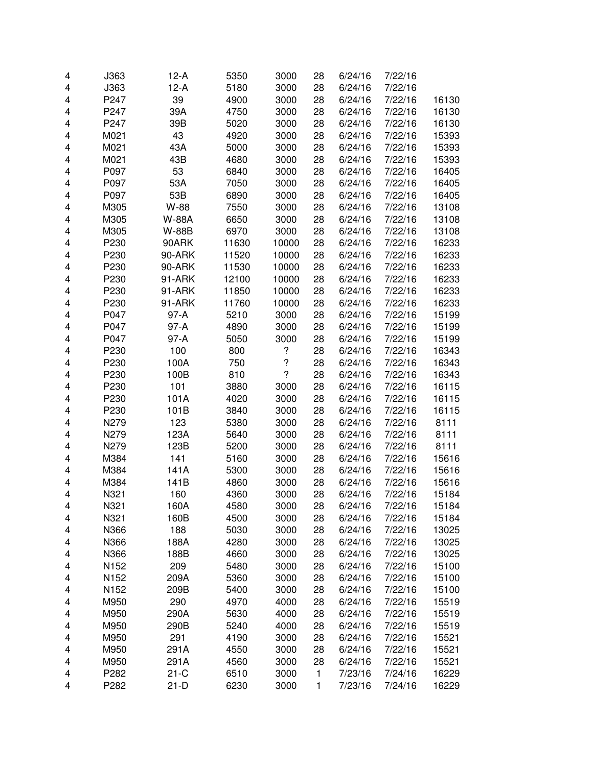| 4 | J363             | $12-A$ | 5350  | 3000                     | 28 | 6/24/16 | 7/22/16 |       |
|---|------------------|--------|-------|--------------------------|----|---------|---------|-------|
| 4 | J363             | $12-A$ | 5180  | 3000                     | 28 | 6/24/16 | 7/22/16 |       |
| 4 | P247             | 39     | 4900  | 3000                     | 28 | 6/24/16 | 7/22/16 | 16130 |
| 4 | P247             | 39A    | 4750  | 3000                     | 28 | 6/24/16 | 7/22/16 | 16130 |
| 4 | P247             | 39B    | 5020  | 3000                     | 28 | 6/24/16 | 7/22/16 | 16130 |
| 4 | M021             | 43     | 4920  | 3000                     | 28 | 6/24/16 | 7/22/16 | 15393 |
| 4 | M021             | 43A    | 5000  | 3000                     | 28 | 6/24/16 | 7/22/16 | 15393 |
| 4 | M021             | 43B    | 4680  | 3000                     | 28 | 6/24/16 | 7/22/16 | 15393 |
| 4 | P097             | 53     | 6840  | 3000                     | 28 | 6/24/16 | 7/22/16 | 16405 |
| 4 | P097             | 53A    | 7050  | 3000                     | 28 | 6/24/16 | 7/22/16 | 16405 |
| 4 | P097             | 53B    | 6890  | 3000                     | 28 | 6/24/16 | 7/22/16 | 16405 |
| 4 | M305             | W-88   | 7550  | 3000                     | 28 | 6/24/16 | 7/22/16 | 13108 |
| 4 | M305             | W-88A  | 6650  | 3000                     | 28 | 6/24/16 | 7/22/16 | 13108 |
| 4 | M305             | W-88B  | 6970  | 3000                     | 28 | 6/24/16 | 7/22/16 | 13108 |
| 4 | P230             | 90ARK  | 11630 | 10000                    | 28 | 6/24/16 | 7/22/16 | 16233 |
| 4 | P230             | 90-ARK | 11520 | 10000                    | 28 | 6/24/16 | 7/22/16 | 16233 |
| 4 | P230             | 90-ARK | 11530 | 10000                    | 28 | 6/24/16 | 7/22/16 | 16233 |
| 4 | P230             | 91-ARK | 12100 | 10000                    | 28 | 6/24/16 | 7/22/16 | 16233 |
| 4 | P230             | 91-ARK | 11850 | 10000                    | 28 | 6/24/16 | 7/22/16 | 16233 |
| 4 | P230             | 91-ARK | 11760 | 10000                    | 28 | 6/24/16 | 7/22/16 | 16233 |
| 4 | P047             | 97-A   | 5210  | 3000                     | 28 | 6/24/16 | 7/22/16 | 15199 |
| 4 | P047             | $97-A$ | 4890  | 3000                     | 28 | 6/24/16 | 7/22/16 | 15199 |
| 4 | P047             | 97-A   | 5050  | 3000                     | 28 | 6/24/16 | 7/22/16 | 15199 |
| 4 | P230             | 100    | 800   | $\boldsymbol{?}$         | 28 | 6/24/16 | 7/22/16 | 16343 |
| 4 | P230             | 100A   | 750   | ?                        | 28 | 6/24/16 | 7/22/16 | 16343 |
| 4 | P230             | 100B   | 810   | $\overline{\phantom{a}}$ | 28 | 6/24/16 | 7/22/16 | 16343 |
| 4 | P230             | 101    | 3880  | 3000                     | 28 | 6/24/16 | 7/22/16 | 16115 |
| 4 | P230             | 101A   | 4020  | 3000                     | 28 | 6/24/16 | 7/22/16 | 16115 |
| 4 | P230             | 101B   | 3840  | 3000                     | 28 | 6/24/16 | 7/22/16 | 16115 |
| 4 | N279             | 123    | 5380  | 3000                     | 28 | 6/24/16 | 7/22/16 | 8111  |
| 4 | N279             | 123A   | 5640  | 3000                     | 28 | 6/24/16 | 7/22/16 | 8111  |
| 4 | N279             | 123B   | 5200  | 3000                     | 28 | 6/24/16 | 7/22/16 | 8111  |
| 4 | M384             | 141    | 5160  | 3000                     | 28 | 6/24/16 | 7/22/16 | 15616 |
| 4 | M384             | 141A   | 5300  | 3000                     | 28 | 6/24/16 | 7/22/16 | 15616 |
| 4 | M384             | 141B   | 4860  | 3000                     | 28 | 6/24/16 | 7/22/16 | 15616 |
| 4 | N321             | 160    | 4360  | 3000                     | 28 | 6/24/16 | 7/22/16 | 15184 |
| 4 | N321             | 160A   | 4580  | 3000                     | 28 | 6/24/16 | 7/22/16 | 15184 |
| 4 | N321             | 160B   | 4500  | 3000                     | 28 | 6/24/16 | 7/22/16 | 15184 |
| 4 | N366             | 188    | 5030  | 3000                     | 28 | 6/24/16 | 7/22/16 | 13025 |
| 4 | N366             | 188A   | 4280  | 3000                     | 28 | 6/24/16 | 7/22/16 | 13025 |
| 4 | N366             | 188B   | 4660  | 3000                     | 28 | 6/24/16 | 7/22/16 | 13025 |
| 4 | N <sub>152</sub> | 209    | 5480  | 3000                     | 28 | 6/24/16 | 7/22/16 | 15100 |
| 4 | N152             | 209A   | 5360  | 3000                     | 28 | 6/24/16 | 7/22/16 | 15100 |
| 4 | N152             | 209B   | 5400  | 3000                     | 28 | 6/24/16 | 7/22/16 | 15100 |
| 4 | M950             | 290    | 4970  | 4000                     | 28 | 6/24/16 | 7/22/16 | 15519 |
| 4 | M950             | 290A   | 5630  | 4000                     | 28 | 6/24/16 | 7/22/16 | 15519 |
| 4 | M950             | 290B   | 5240  | 4000                     | 28 | 6/24/16 | 7/22/16 | 15519 |
| 4 | M950             | 291    | 4190  | 3000                     | 28 | 6/24/16 | 7/22/16 | 15521 |
| 4 | M950             | 291A   | 4550  | 3000                     | 28 | 6/24/16 | 7/22/16 | 15521 |
| 4 | M950             | 291A   | 4560  | 3000                     | 28 | 6/24/16 | 7/22/16 | 15521 |
| 4 | P282             | $21-C$ | 6510  | 3000                     | 1  | 7/23/16 | 7/24/16 | 16229 |
| 4 | P282             | $21-D$ | 6230  | 3000                     | 1  | 7/23/16 | 7/24/16 | 16229 |
|   |                  |        |       |                          |    |         |         |       |